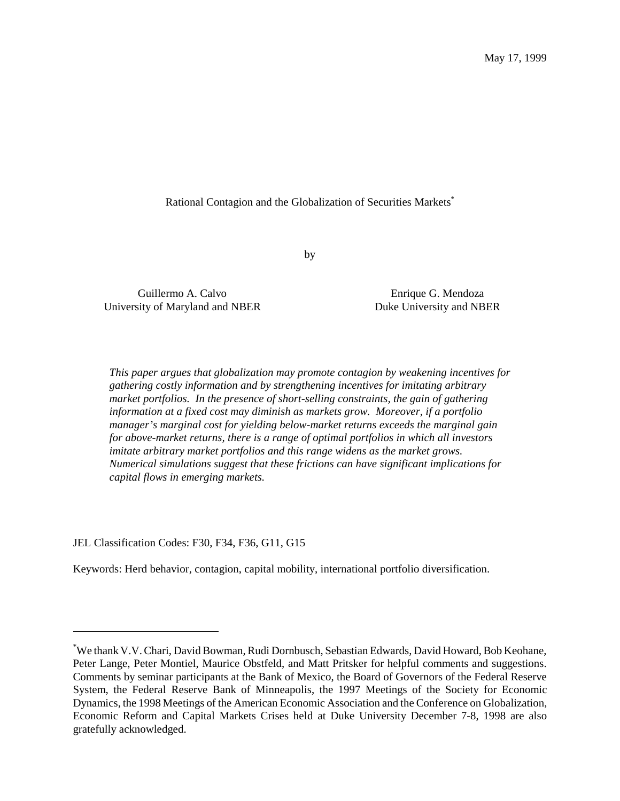Rational Contagion and the Globalization of Securities Markets\*

by

Guillermo A. Calvo University of Maryland and NBER

Enrique G. Mendoza Duke University and NBER

*This paper argues that globalization may promote contagion by weakening incentives for gathering costly information and by strengthening incentives for imitating arbitrary market portfolios. In the presence of short-selling constraints, the gain of gathering information at a fixed cost may diminish as markets grow. Moreover, if a portfolio manager's marginal cost for yielding below-market returns exceeds the marginal gain for above-market returns, there is a range of optimal portfolios in which all investors imitate arbitrary market portfolios and this range widens as the market grows. Numerical simulations suggest that these frictions can have significant implications for capital flows in emerging markets.*

JEL Classification Codes: F30, F34, F36, G11, G15

Keywords: Herd behavior, contagion, capital mobility, international portfolio diversification.

<sup>\*</sup> We thank V.V. Chari, David Bowman, Rudi Dornbusch, Sebastian Edwards, David Howard, Bob Keohane, Peter Lange, Peter Montiel, Maurice Obstfeld, and Matt Pritsker for helpful comments and suggestions. Comments by seminar participants at the Bank of Mexico, the Board of Governors of the Federal Reserve System, the Federal Reserve Bank of Minneapolis, the 1997 Meetings of the Society for Economic Dynamics, the 1998 Meetings of the American Economic Association and the Conference on Globalization, Economic Reform and Capital Markets Crises held at Duke University December 7-8, 1998 are also gratefully acknowledged.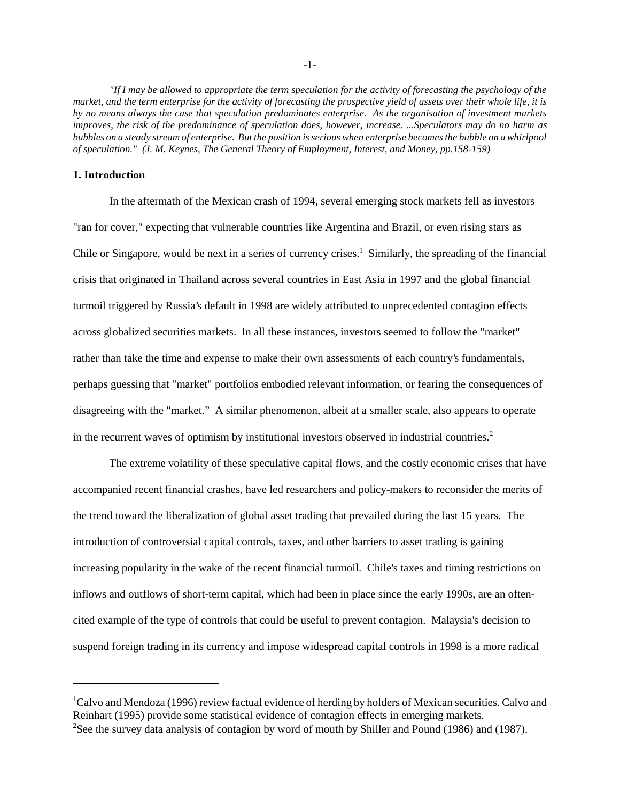*"If I may be allowed to appropriate the term speculation for the activity of forecasting the psychology of the market, and the term enterprise for the activity of forecasting the prospective yield of assets over their whole life, it is by no means always the case that speculation predominates enterprise. As the organisation of investment markets improves, the risk of the predominance of speculation does, however, increase. ...Speculators may do no harm as bubbles on a steady stream of enterprise. But the position is serious when enterprise becomes the bubble on a whirlpool of speculation." (J. M. Keynes, The General Theory of Employment, Interest, and Money, pp.158-159)*

## **1. Introduction**

In the aftermath of the Mexican crash of 1994, several emerging stock markets fell as investors "ran for cover," expecting that vulnerable countries like Argentina and Brazil, or even rising stars as Chile or Singapore, would be next in a series of currency crises.<sup>1</sup> Similarly, the spreading of the financial crisis that originated in Thailand across several countries in East Asia in 1997 and the global financial turmoil triggered by Russia's default in 1998 are widely attributed to unprecedented contagion effects across globalized securities markets. In all these instances, investors seemed to follow the "market" rather than take the time and expense to make their own assessments of each country's fundamentals, perhaps guessing that "market" portfolios embodied relevant information, or fearing the consequences of disagreeing with the "market." A similar phenomenon, albeit at a smaller scale, also appears to operate in the recurrent waves of optimism by institutional investors observed in industrial countries.<sup>2</sup>

The extreme volatility of these speculative capital flows, and the costly economic crises that have accompanied recent financial crashes, have led researchers and policy-makers to reconsider the merits of the trend toward the liberalization of global asset trading that prevailed during the last 15 years. The introduction of controversial capital controls, taxes, and other barriers to asset trading is gaining increasing popularity in the wake of the recent financial turmoil. Chile's taxes and timing restrictions on inflows and outflows of short-term capital, which had been in place since the early 1990s, are an oftencited example of the type of controls that could be useful to prevent contagion. Malaysia's decision to suspend foreign trading in its currency and impose widespread capital controls in 1998 is a more radical

-1-

<sup>&</sup>lt;sup>1</sup>Calvo and Mendoza (1996) review factual evidence of herding by holders of Mexican securities. Calvo and Reinhart (1995) provide some statistical evidence of contagion effects in emerging markets. <sup>2</sup>See the survey data analysis of contagion by word of mouth by Shiller and Pound (1986) and (1987).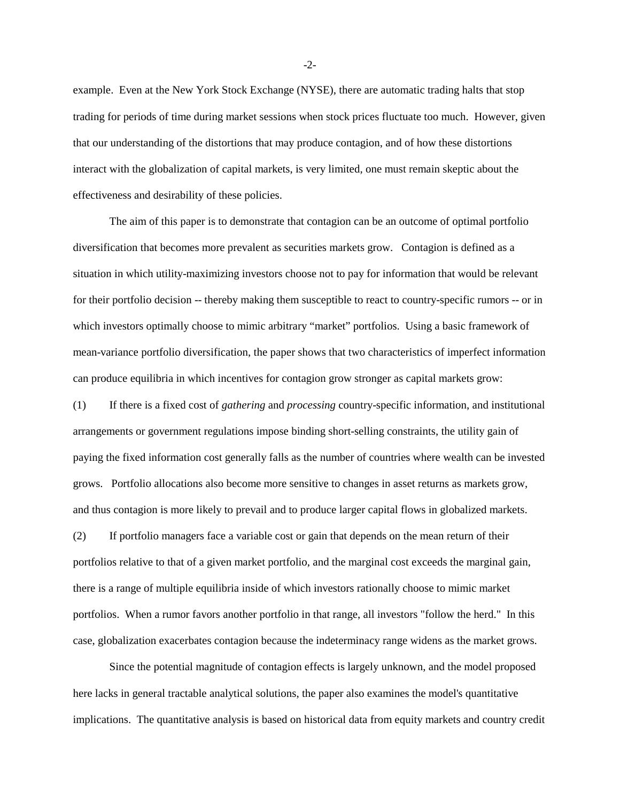example. Even at the New York Stock Exchange (NYSE), there are automatic trading halts that stop trading for periods of time during market sessions when stock prices fluctuate too much. However, given that our understanding of the distortions that may produce contagion, and of how these distortions interact with the globalization of capital markets, is very limited, one must remain skeptic about the effectiveness and desirability of these policies.

The aim of this paper is to demonstrate that contagion can be an outcome of optimal portfolio diversification that becomes more prevalent as securities markets grow. Contagion is defined as a situation in which utility-maximizing investors choose not to pay for information that would be relevant for their portfolio decision -- thereby making them susceptible to react to country-specific rumors -- or in which investors optimally choose to mimic arbitrary "market" portfolios. Using a basic framework of mean-variance portfolio diversification, the paper shows that two characteristics of imperfect information can produce equilibria in which incentives for contagion grow stronger as capital markets grow:

(1) If there is a fixed cost of *gathering* and *processing* country-specific information, and institutional arrangements or government regulations impose binding short-selling constraints, the utility gain of paying the fixed information cost generally falls as the number of countries where wealth can be invested grows. Portfolio allocations also become more sensitive to changes in asset returns as markets grow, and thus contagion is more likely to prevail and to produce larger capital flows in globalized markets. (2) If portfolio managers face a variable cost or gain that depends on the mean return of their portfolios relative to that of a given market portfolio, and the marginal cost exceeds the marginal gain, there is a range of multiple equilibria inside of which investors rationally choose to mimic market portfolios. When a rumor favors another portfolio in that range, all investors "follow the herd." In this case, globalization exacerbates contagion because the indeterminacy range widens as the market grows.

Since the potential magnitude of contagion effects is largely unknown, and the model proposed here lacks in general tractable analytical solutions, the paper also examines the model's quantitative implications. The quantitative analysis is based on historical data from equity markets and country credit

-2-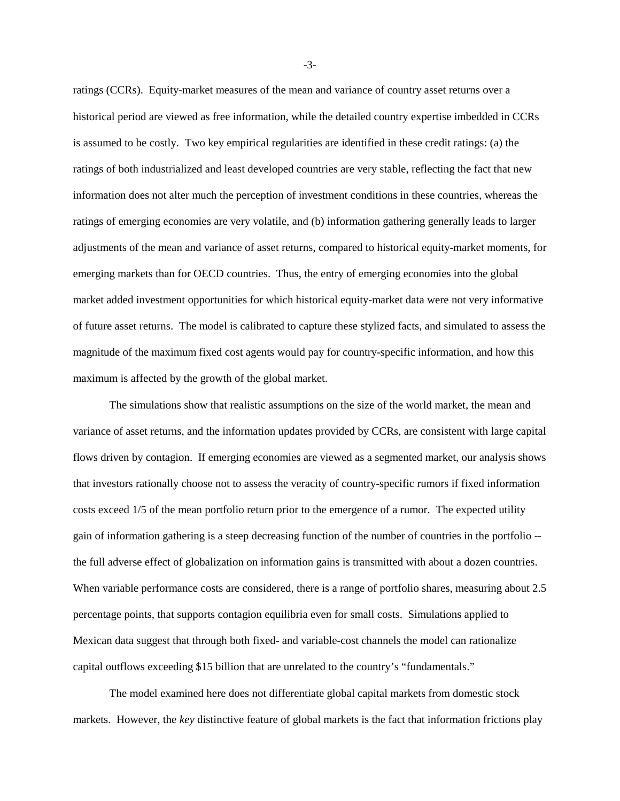ratings (CCRs). Equity-market measures of the mean and variance of country asset returns over a historical period are viewed as free information, while the detailed country expertise imbedded in CCRs is assumed to be costly. Two key empirical regularities are identified in these credit ratings: (a) the ratings of both industrialized and least developed countries are very stable, reflecting the fact that new information does not alter much the perception of investment conditions in these countries, whereas the ratings of emerging economies are very volatile, and (b) information gathering generally leads to larger adjustments of the mean and variance of asset returns, compared to historical equity-market moments, for emerging markets than for OECD countries. Thus, the entry of emerging economies into the global market added investment opportunities for which historical equity-market data were not very informative of future asset returns. The model is calibrated to capture these stylized facts, and simulated to assess the magnitude of the maximum fixed cost agents would pay for country-specific information, and how this maximum is affected by the growth of the global market.

The simulations show that realistic assumptions on the size of the world market, the mean and variance of asset returns, and the information updates provided by CCRs, are consistent with large capital flows driven by contagion. If emerging economies are viewed as a segmented market, our analysis shows that investors rationally choose not to assess the veracity of country-specific rumors if fixed information costs exceed 1/5 of the mean portfolio return prior to the emergence of a rumor. The expected utility gain of information gathering is a steep decreasing function of the number of countries in the portfolio - the full adverse effect of globalization on information gains is transmitted with about a dozen countries. When variable performance costs are considered, there is a range of portfolio shares, measuring about 2.5 percentage points, that supports contagion equilibria even for small costs. Simulations applied to Mexican data suggest that through both fixed- and variable-cost channels the model can rationalize capital outflows exceeding \$15 billion that are unrelated to the country's "fundamentals."

The model examined here does not differentiate global capital markets from domestic stock markets. However, the *key* distinctive feature of global markets is the fact that information frictions play

-3-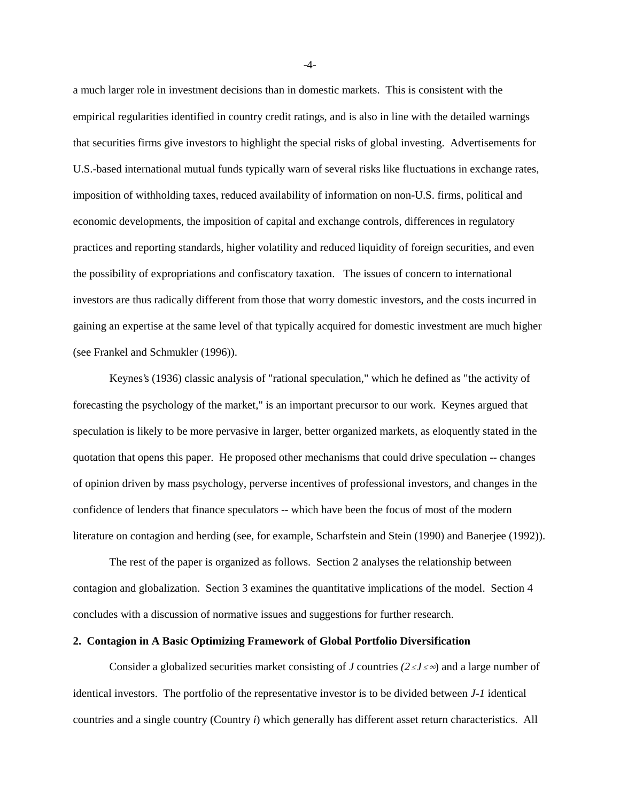a much larger role in investment decisions than in domestic markets. This is consistent with the empirical regularities identified in country credit ratings, and is also in line with the detailed warnings that securities firms give investors to highlight the special risks of global investing. Advertisements for U.S.-based international mutual funds typically warn of several risks like fluctuations in exchange rates, imposition of withholding taxes, reduced availability of information on non-U.S. firms, political and economic developments, the imposition of capital and exchange controls, differences in regulatory practices and reporting standards, higher volatility and reduced liquidity of foreign securities, and even the possibility of expropriations and confiscatory taxation. The issues of concern to international investors are thus radically different from those that worry domestic investors, and the costs incurred in gaining an expertise at the same level of that typically acquired for domestic investment are much higher (see Frankel and Schmukler (1996)).

Keynes's (1936) classic analysis of "rational speculation," which he defined as "the activity of forecasting the psychology of the market," is an important precursor to our work. Keynes argued that speculation is likely to be more pervasive in larger, better organized markets, as eloquently stated in the quotation that opens this paper. He proposed other mechanisms that could drive speculation -- changes of opinion driven by mass psychology, perverse incentives of professional investors, and changes in the confidence of lenders that finance speculators -- which have been the focus of most of the modern literature on contagion and herding (see, for example, Scharfstein and Stein (1990) and Banerjee (1992)).

The rest of the paper is organized as follows. Section 2 analyses the relationship between contagion and globalization. Section 3 examines the quantitative implications of the model. Section 4 concludes with a discussion of normative issues and suggestions for further research.

# **2. Contagion in A Basic Optimizing Framework of Global Portfolio Diversification**

Consider a globalized securities market consisting of *J* countries  $(2 \le J \le \infty)$  and a large number of identical investors. The portfolio of the representative investor is to be divided between *J-1* identical countries and a single country (Country *i*) which generally has different asset return characteristics. All

-4-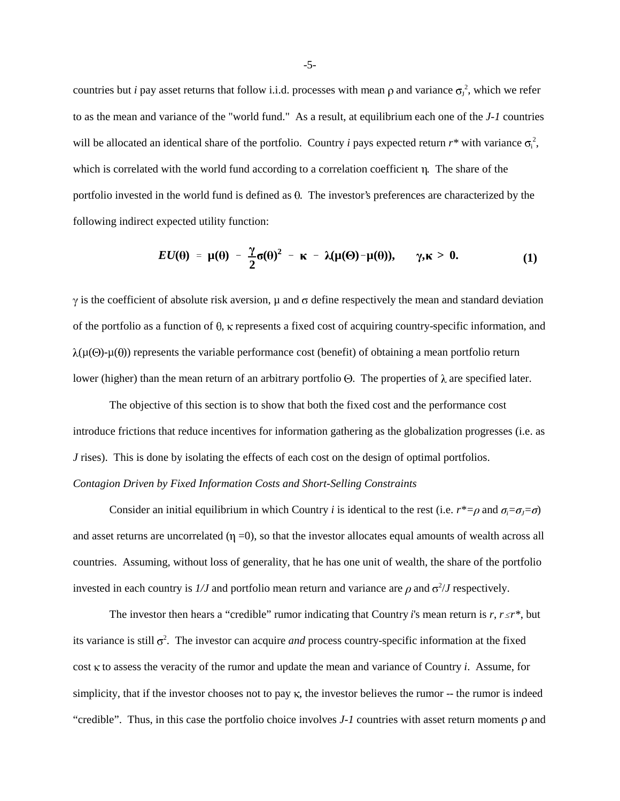countries but *i* pay asset returns that follow i.i.d. processes with mean  $\rho$  and variance  $\sigma_j^2$ , which we refer to as the mean and variance of the "world fund." As a result, at equilibrium each one of the *J-1* countries will be allocated an identical share of the portfolio. Country *i* pays expected return  $r^*$  with variance  $\sigma_i^2$ , which is correlated with the world fund according to a correlation coefficient *n*. The share of the portfolio invested in the world fund is defined as  $\theta$ . The investor's preferences are characterized by the following indirect expected utility function:

$$
EU(\theta) = \mu(\theta) - \frac{\gamma}{2}\sigma(\theta)^2 - \kappa - \lambda(\mu(\Theta) - \mu(\theta)), \quad \gamma, \kappa > 0.
$$
 (1)

 $\gamma$  is the coefficient of absolute risk aversion,  $\mu$  and  $\sigma$  define respectively the mean and standard deviation of the portfolio as a function of  $\theta$ ,  $\kappa$  represents a fixed cost of acquiring country-specific information, and  $\lambda(\mu(\Theta)-\mu(\theta))$  represents the variable performance cost (benefit) of obtaining a mean portfolio return lower (higher) than the mean return of an arbitrary portfolio  $\Theta$ . The properties of  $\lambda$  are specified later.

The objective of this section is to show that both the fixed cost and the performance cost introduce frictions that reduce incentives for information gathering as the globalization progresses (i.e. as *J* rises). This is done by isolating the effects of each cost on the design of optimal portfolios.

# *Contagion Driven by Fixed Information Costs and Short-Selling Constraints*

Consider an initial equilibrium in which Country *i* is identical to the rest (i.e.  $r^* = \rho$  and  $\sigma_i = \sigma_j = \sigma$ ) and asset returns are uncorrelated  $(\eta = 0)$ , so that the investor allocates equal amounts of wealth across all countries. Assuming, without loss of generality, that he has one unit of wealth, the share of the portfolio invested in each country is  $1/J$  and portfolio mean return and variance are  $\rho$  and  $\sigma^2/J$  respectively.

The investor then hears a "credible" rumor indicating that Country *i*'s mean return is  $r, r \le r^*$ , but its variance is still  $\sigma^2$ . The investor can acquire *and* process country-specific information at the fixed cost  $\kappa$  to assess the veracity of the rumor and update the mean and variance of Country *i*. Assume, for simplicity, that if the investor chooses not to pay  $\kappa$ , the investor believes the rumor -- the rumor is indeed "credible". Thus, in this case the portfolio choice involves  $J-1$  countries with asset return moments  $\rho$  and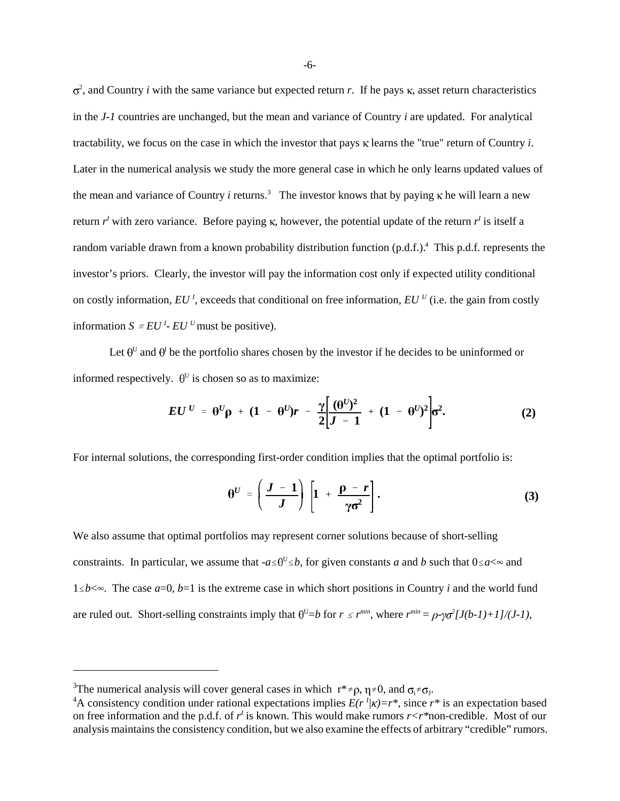<sup>2</sup>, and Country *i* with the same variance but expected return *r*. If he pays  $\kappa$ , asset return characteristics in the *J-1* countries are unchanged, but the mean and variance of Country *i* are updated. For analytical tractability, we focus on the case in which the investor that pays  $\kappa$  learns the "true" return of Country *i*. Later in the numerical analysis we study the more general case in which he only learns updated values of the mean and variance of Country *i* returns.<sup>3</sup> The investor knows that by paying  $\kappa$  he will learn a new return  $r<sup>I</sup>$  with zero variance. Before paying  $\kappa$ , however, the potential update of the return  $r<sup>I</sup>$  is itself a random variable drawn from a known probability distribution function (p.d.f.).<sup>4</sup> This p.d.f. represents the investor's priors. Clearly, the investor will pay the information cost only if expected utility conditional on costly information,  $EU<sup>I</sup>$ , exceeds that conditional on free information,  $EU<sup>U</sup>$  (i.e. the gain from costly information  $S = EU^I - EU^U$  must be positive).

Let  $\theta^U$  and  $\theta^I$  be the portfolio shares chosen by the investor if he decides to be uninformed or informed respectively.  $\theta^U$  is chosen so as to maximize:

$$
EU^U = \theta^U \rho + (1 - \theta^U) r - \frac{\gamma}{2} \left[ \frac{(\theta^U)^2}{J - 1} + (1 - \theta^U)^2 \right] \sigma^2.
$$
 (2)

For internal solutions, the corresponding first-order condition implies that the optimal portfolio is:

$$
\theta^U = \left(\frac{J-1}{J}\right) \left[1 + \frac{\rho - r}{\gamma \sigma^2}\right].
$$
 (3)

We also assume that optimal portfolios may represent corner solutions because of short-selling constraints. In particular, we assume that  $-a \le \theta^U \le b$ , for given constants *a* and *b* such that  $0 \le a \le \infty$  and  $1 \leq b \leq \infty$ . The case  $a=0$ ,  $b=1$  is the extreme case in which short positions in Country *i* and the world fund are ruled out. Short-selling constraints imply that  $\theta^U = b$  for  $r \leq r^{min}$ , where  $r^{min} = \rho \cdot \gamma \sigma^2 [J(b-1)+1]/(J-1)$ ,

<sup>&</sup>lt;sup>3</sup>The numerical analysis will cover general cases in which  $r^* \neq \rho$ ,  $\eta \neq 0$ , and  $\sigma_i \neq \sigma_j$ .<br><sup>4</sup>A consistency condition under rational expectations implies  $F(r/l/\kappa) = r^*$  since r

A consistency condition under rational expectations implies  $E(r^{I}/\kappa) = r^*$ , since  $r^*$  is an expectation based on free information and the p.d.f. of  $r<sup>I</sup>$  is known. This would make rumors  $r < r<sup>*</sup>$ non-credible. Most of our analysis maintains the consistency condition, but we also examine the effects of arbitrary "credible" rumors.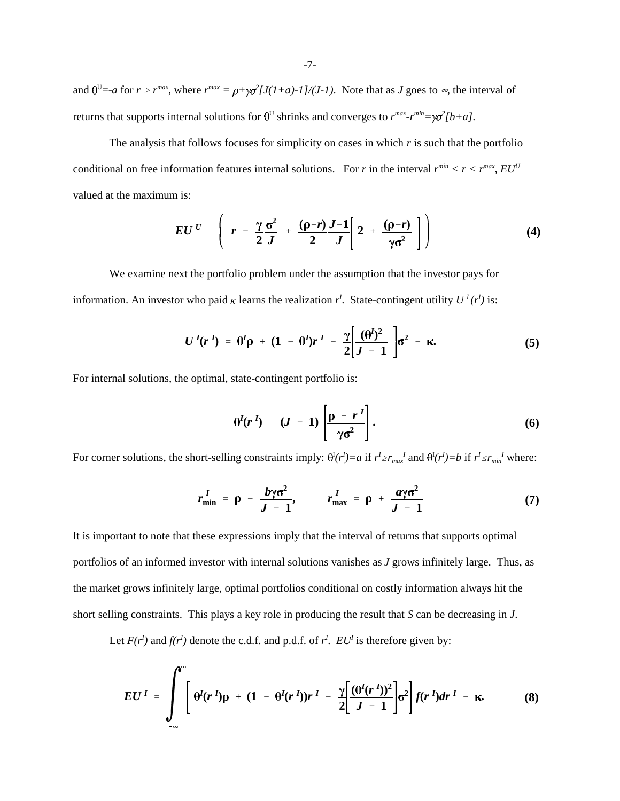and  $\theta^U = -a$  for  $r \ge r^{max}$ , where  $r^{max} = \rho + \gamma \sigma^2 [J(1+a) - I]/(J-1)$ . Note that as *J* goes to  $\infty$ , the interval of returns that supports internal solutions for  $\theta^U$  shrinks and converges to  $r^{max}$ - $r^{min} = \gamma \sigma^2 [b + a]$ .

The analysis that follows focuses for simplicity on cases in which *r* is such that the portfolio conditional on free information features internal solutions. For *r* in the interval  $r^{min} < r < r^{max}$ ,  $EU^{U}$ valued at the maximum is:

$$
EU^U = \left( r - \frac{\gamma \sigma^2}{2 J} + \frac{(\rho - r) J - 1}{2 J} \left[ 2 + \frac{(\rho - r)}{\gamma \sigma^2} \right] \right) \tag{4}
$$

We examine next the portfolio problem under the assumption that the investor pays for information. An investor who paid  $\kappa$  learns the realization  $r<sup>I</sup>$ . State-contingent utility  $U<sup>I</sup>(r<sup>I</sup>)$  is:

$$
U^{I}(r^{I}) = \theta^{I}\rho + (1 - \theta^{I})r^{I} - \frac{\gamma}{2}\left[\frac{(\theta^{I})^{2}}{J - 1}\right]\sigma^{2} - \kappa.
$$
 (5)

For internal solutions, the optimal, state-contingent portfolio is:

$$
\theta^I(r^I) = (J-1)\left[\frac{\rho-r^I}{\gamma\sigma^2}\right].
$$
 (6)

For corner solutions, the short-selling constraints imply:  $\theta^I(r^I) = a$  if  $r^I \ge r_{max}^I$  and  $\theta^I(r^I) = b$  if  $r^I \le r_{min}^I$  where:

$$
r_{\min}^I = \rho - \frac{b\gamma\sigma^2}{J-1}, \qquad r_{\max}^I = \rho + \frac{a\gamma\sigma^2}{J-1} \tag{7}
$$

It is important to note that these expressions imply that the interval of returns that supports optimal portfolios of an informed investor with internal solutions vanishes as *J* grows infinitely large. Thus, as the market grows infinitely large, optimal portfolios conditional on costly information always hit the short selling constraints. This plays a key role in producing the result that *S* can be decreasing in *J*.

Let  $F(r^I)$  and  $f(r^I)$  denote the c.d.f. and p.d.f. of  $r^I$ .  $EU^I$  is therefore given by:

$$
EU^{I} = \int_{-\infty}^{\infty} \left[ \theta^{I}(r^{I}) \rho + (1 - \theta^{I}(r^{I}))r^{I} - \frac{\gamma}{2} \left[ \frac{(\theta^{I}(r^{I}))^{2}}{J - 1} \right] \sigma^{2} \right] f(r^{I}) dr^{I} - \kappa.
$$
 (8)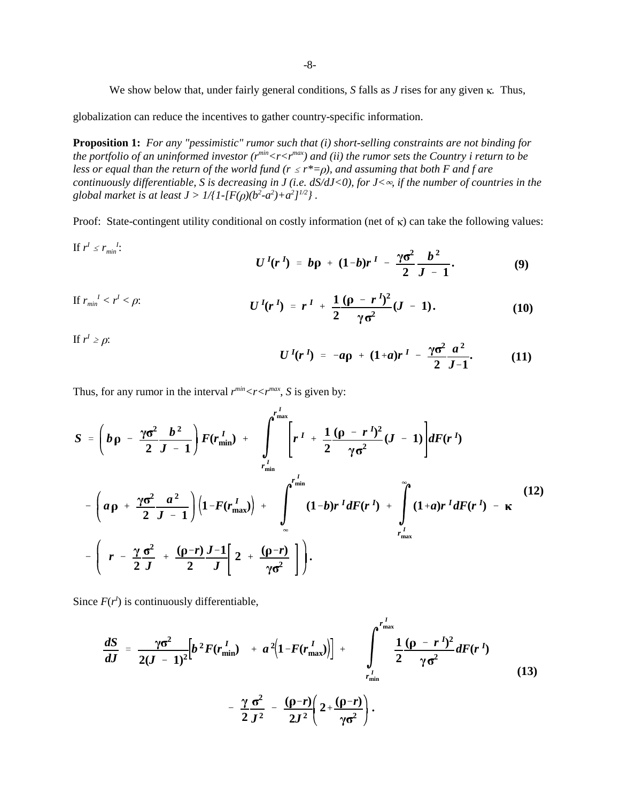We show below that, under fairly general conditions, *S* falls as *J* rises for any given κ. Thus,

globalization can reduce the incentives to gather country-specific information.

**Proposition 1:** *For any "pessimistic" rumor such that (i) short-selling constraints are not binding for the portfolio of an uninformed investor (* $r^{min} < r < r^{max}$ *) and (ii) the rumor sets the Country i return to be less or equal than the return of the world fund (* $r \le r^* = \rho$ *), and assuming that both F and f are continuously differentiable, S is decreasing in J (i.e. dS/dJ<0), for J<* $\infty$ *, if the number of countries in the global market is at least*  $J > 1/(1-[F(\rho)(b^2-a^2)+a^2]^{1/2})$ *.* 

Proof: State-contingent utility conditional on costly information (net of  $\kappa$ ) can take the following values:

If 
$$
r^l \le r_{min}^{l}
$$
:  
\n
$$
U^l(r^l) = b\rho + (1-b)r^l - \frac{\gamma\sigma^2}{2} \frac{b^2}{J-1}.
$$
\n(9)

If 
$$
r_{min}^{-1} < r^l < \rho
$$
:  
\n
$$
U^{I}(r^l) = r^l + \frac{1}{2} \frac{(\rho - r^l)^2}{\gamma \sigma^2} (J - 1).
$$
\n(10)

If 
$$
r^l \ge \rho
$$
:  
\n
$$
U^l(r^l) = -a\rho + (1+a)r^l - \frac{\gamma\sigma^2}{2} \frac{a^2}{J-1}.
$$
\n(11)

Thus, for any rumor in the interval  $r^{min} < r < r^{max}$ , *S* is given by:

$$
S = \left(b\rho - \frac{\gamma\sigma^2}{2}\frac{b^2}{J-1}\right)F(r_{\min}^I) + \int_{r_{\min}^I}^{r_{\max}^I}\left[r^I + \frac{1}{2}\frac{(\rho - r^I)^2}{\gamma\sigma^2}(J-1)\right]dF(r^I) - \left(a\rho + \frac{\gamma\sigma^2}{2}\frac{a^2}{J-1}\right)\left(1 - F(r_{\max}^I)\right) + \int_{-\infty}^{r_{\min}^I} (1 - b)r^I dF(r^I) + \int_{r_{\max}^I}^0 (1 + a)r^I dF(r^I) - \kappa
$$
\n
$$
-\left(r - \frac{\gamma}{2}\frac{\sigma^2}{J} + \frac{(\rho - r)}{2}\frac{J - 1}{J}\right[2 + \frac{(\rho - r)}{\gamma\sigma^2}\right).
$$
\n(12)

Since  $F(r^I)$  is continuously differentiable,

$$
\frac{dS}{dJ} = \frac{\gamma \sigma^2}{2(J-1)^2} \Big[ b^2 F(r_{\min}^I) + a^2 \Big( 1 - F(r_{\max}^I) \Big) \Big] + \int_{r_{\min}^I}^{r_{\max}} \frac{1}{2} \frac{(\rho - r^I)^2}{\gamma \sigma^2} dF(r^I) - \frac{\gamma}{2} \frac{\sigma^2}{J^2} - \frac{(\rho - r)}{2J^2} \Big( 2 + \frac{(\rho - r)}{\gamma \sigma^2} \Big).
$$
\n(13)

*r I*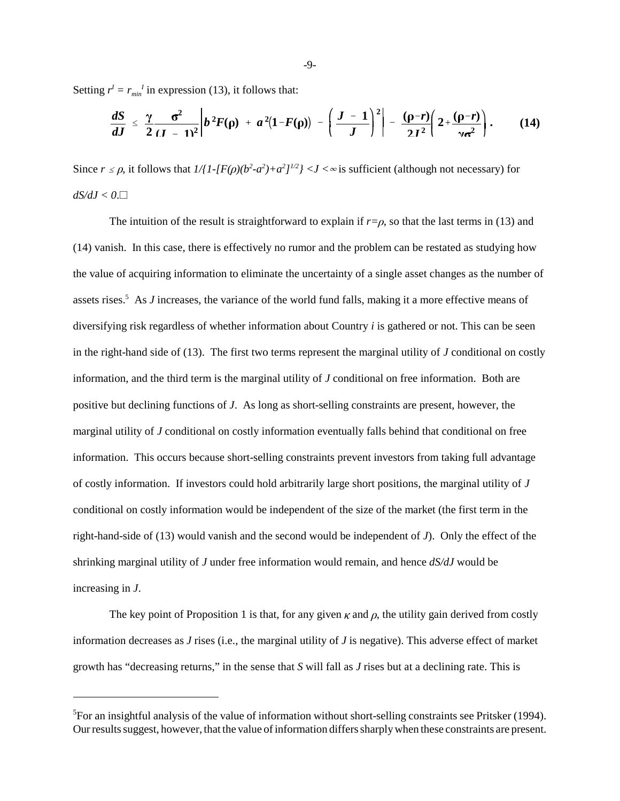Setting  $r^I = r_{min}^{I}$  in expression (13), it follows that:

$$
\frac{dS}{dJ} \leq \frac{\gamma}{2} \frac{\sigma^2}{(J-1)^2} \bigg| b^2 F(\rho) + a^2 (1-F(\rho)) - \bigg( \frac{J-1}{J} \bigg)^2 \bigg| - \frac{(\rho-r)}{2J^2} \bigg( 2 + \frac{(\rho-r)}{\gamma \sigma^2} \bigg).
$$
 (14)

Since  $r \le \rho$ , it follows that  $1/{[1 \cdot [F(\rho)(b^2-a^2)+a^2]^{1/2}}$   $< J < \infty$  is sufficient (although not necessary) for  $dS/dJ < 0.$ 

The intuition of the result is straightforward to explain if  $r = \rho$ , so that the last terms in (13) and (14) vanish. In this case, there is effectively no rumor and the problem can be restated as studying how the value of acquiring information to eliminate the uncertainty of a single asset changes as the number of assets rises.<sup>5</sup> As *J* increases, the variance of the world fund falls, making it a more effective means of diversifying risk regardless of whether information about Country *i* is gathered or not. This can be seen in the right-hand side of (13). The first two terms represent the marginal utility of *J* conditional on costly information, and the third term is the marginal utility of *J* conditional on free information. Both are positive but declining functions of *J*. As long as short-selling constraints are present, however, the marginal utility of *J* conditional on costly information eventually falls behind that conditional on free information. This occurs because short-selling constraints prevent investors from taking full advantage of costly information. If investors could hold arbitrarily large short positions, the marginal utility of *J* conditional on costly information would be independent of the size of the market (the first term in the right-hand-side of (13) would vanish and the second would be independent of *J*). Only the effect of the shrinking marginal utility of *J* under free information would remain, and hence *dS/dJ* would be increasing in *J*.

The key point of Proposition 1 is that, for any given  $\kappa$  and  $\rho$ , the utility gain derived from costly information decreases as *J* rises (i.e., the marginal utility of *J* is negative). This adverse effect of market growth has "decreasing returns," in the sense that *S* will fall as *J* rises but at a declining rate. This is

 ${}^{5}$ For an insightful analysis of the value of information without short-selling constraints see Pritsker (1994). Our results suggest, however, that the value of information differs sharply when these constraints are present.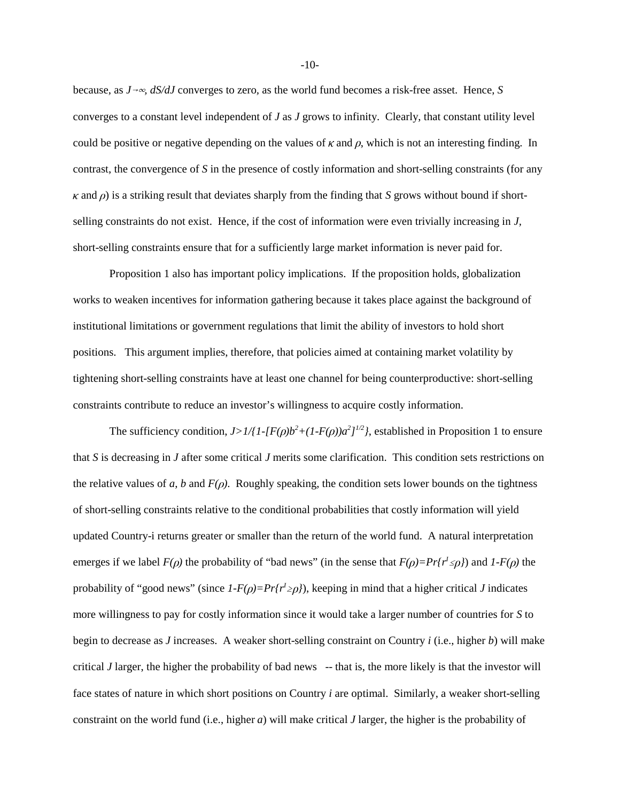because, as  $J \rightarrow \infty$  dS/dJ converges to zero, as the world fund becomes a risk-free asset. Hence, *S* converges to a constant level independent of *J* as *J* grows to infinity. Clearly, that constant utility level could be positive or negative depending on the values of  $\kappa$  and  $\rho$ , which is not an interesting finding. In contrast, the convergence of *S* in the presence of costly information and short-selling constraints (for any  $\kappa$  and  $\rho$ ) is a striking result that deviates sharply from the finding that *S* grows without bound if shortselling constraints do not exist. Hence, if the cost of information were even trivially increasing in *J,* short-selling constraints ensure that for a sufficiently large market information is never paid for.

Proposition 1 also has important policy implications. If the proposition holds, globalization works to weaken incentives for information gathering because it takes place against the background of institutional limitations or government regulations that limit the ability of investors to hold short positions. This argument implies, therefore, that policies aimed at containing market volatility by tightening short-selling constraints have at least one channel for being counterproductive: short-selling constraints contribute to reduce an investor's willingness to acquire costly information.

The sufficiency condition,  $J > 1/(1 - [F(\rho)b^2 + (1 - F(\rho))a^2]^{1/2}$ , established in Proposition 1 to ensure that *S* is decreasing in *J* after some critical *J* merits some clarification. This condition sets restrictions on the relative values of *a*, *b* and  $F(\rho)$ . Roughly speaking, the condition sets lower bounds on the tightness of short-selling constraints relative to the conditional probabilities that costly information will yield updated Country-i returns greater or smaller than the return of the world fund. A natural interpretation emerges if we label  $F(\rho)$  the probability of "bad news" (in the sense that  $F(\rho) = Pr\{r^I \leq \rho\}$ ) and  $I - F(\rho)$  the probability of "good news" (since  $I$ - $F(\rho) = Pr\{r^I \geq \rho\}$ ), keeping in mind that a higher critical *J* indicates more willingness to pay for costly information since it would take a larger number of countries for *S* to begin to decrease as *J* increases. A weaker short-selling constraint on Country *i* (i.e., higher *b*) will make critical *J* larger, the higher the probability of bad news -- that is, the more likely is that the investor will face states of nature in which short positions on Country *i* are optimal. Similarly, a weaker short-selling constraint on the world fund (i.e., higher *a*) will make critical *J* larger, the higher is the probability of

-10-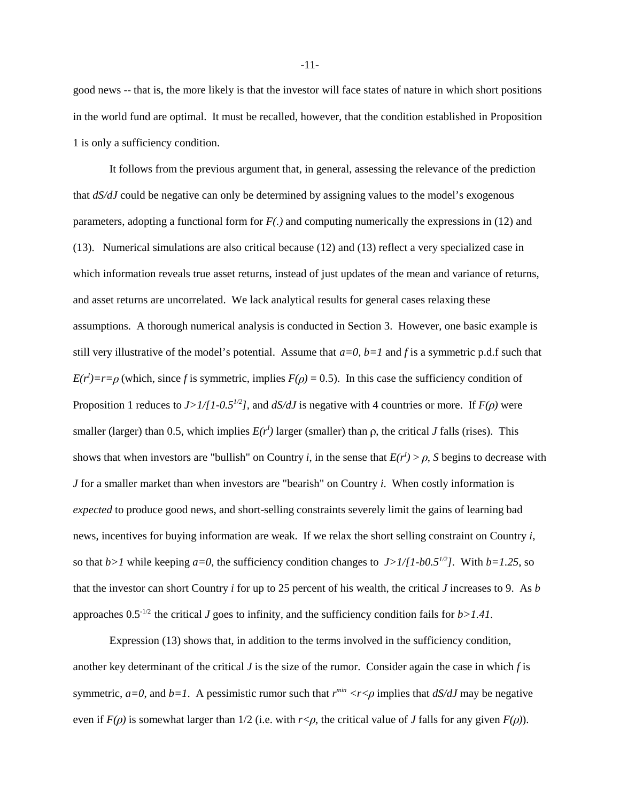good news -- that is, the more likely is that the investor will face states of nature in which short positions in the world fund are optimal. It must be recalled, however, that the condition established in Proposition 1 is only a sufficiency condition.

It follows from the previous argument that, in general, assessing the relevance of the prediction that *dS/dJ* could be negative can only be determined by assigning values to the model's exogenous parameters, adopting a functional form for *F(.)* and computing numerically the expressions in (12) and (13). Numerical simulations are also critical because (12) and (13) reflect a very specialized case in which information reveals true asset returns, instead of just updates of the mean and variance of returns, and asset returns are uncorrelated. We lack analytical results for general cases relaxing these assumptions. A thorough numerical analysis is conducted in Section 3. However, one basic example is still very illustrative of the model's potential. Assume that  $a=0$ ,  $b=1$  and f is a symmetric p.d.f such that  $E(r^l) = r = \rho$  (which, since *f* is symmetric, implies  $F(\rho) = 0.5$ ). In this case the sufficiency condition of Proposition 1 reduces to  $J > 1/(1-0.5^{1/2})$ , and  $dS/dJ$  is negative with 4 countries or more. If  $F(\rho)$  were smaller (larger) than 0.5, which implies  $E(r^l)$  larger (smaller) than  $\rho$ , the critical *J* falls (rises). This shows that when investors are "bullish" on Country *i*, in the sense that  $E(r<sup>1</sup>) > \rho$ , *S* begins to decrease with *J* for a smaller market than when investors are "bearish" on Country *i*. When costly information is *expected* to produce good news, and short-selling constraints severely limit the gains of learning bad news, incentives for buying information are weak. If we relax the short selling constraint on Country *i*, so that  $b > 1$  while keeping  $a=0$ , the sufficiency condition changes to  $J > 1/(1-b0.5^{1/2})$ . With  $b=1.25$ , so that the investor can short Country *i* for up to 25 percent of his wealth, the critical *J* increases to 9. As *b* approaches  $0.5^{-1/2}$  the critical *J* goes to infinity, and the sufficiency condition fails for  $b > 1.41$ .

Expression (13) shows that, in addition to the terms involved in the sufficiency condition, another key determinant of the critical *J* is the size of the rumor. Consider again the case in which *f* is symmetric,  $a=0$ , and  $b=1$ . A pessimistic rumor such that  $r^{min} < r < \rho$  implies that  $dS/dJ$  may be negative even if  $F(\rho)$  is somewhat larger than 1/2 (i.e. with  $r < \rho$ , the critical value of *J* falls for any given  $F(\rho)$ ).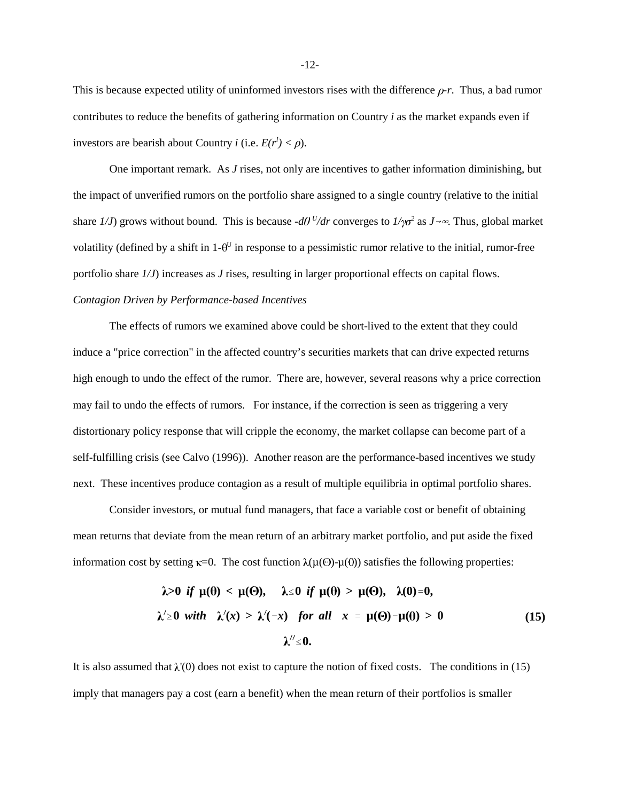This is because expected utility of uninformed investors rises with the difference  $\rho$ -r. Thus, a bad rumor contributes to reduce the benefits of gathering information on Country *i* as the market expands even if investors are bearish about Country *i* (i.e.  $E(r^l) < \rho$ ).

One important remark. As *J* rises, not only are incentives to gather information diminishing, but the impact of unverified rumors on the portfolio share assigned to a single country (relative to the initial share *1/J*) grows without bound. This is because *-d0* <sup>*U/dr* converges to *1/yo*<sup>2</sup> as *J*  $\rightarrow \infty$ . Thus, global market</sup> volatility (defined by a shift in  $1-\theta^U$  in response to a pessimistic rumor relative to the initial, rumor-free portfolio share *1/J*) increases as *J* rises, resulting in larger proportional effects on capital flows. *Contagion Driven by Performance-based Incentives*

The effects of rumors we examined above could be short-lived to the extent that they could induce a "price correction" in the affected country's securities markets that can drive expected returns high enough to undo the effect of the rumor. There are, however, several reasons why a price correction may fail to undo the effects of rumors. For instance, if the correction is seen as triggering a very distortionary policy response that will cripple the economy, the market collapse can become part of a self-fulfilling crisis (see Calvo (1996)). Another reason are the performance-based incentives we study next. These incentives produce contagion as a result of multiple equilibria in optimal portfolio shares.

Consider investors, or mutual fund managers, that face a variable cost or benefit of obtaining mean returns that deviate from the mean return of an arbitrary market portfolio, and put aside the fixed information cost by setting  $\kappa=0$ . The cost function  $\lambda(\mu(\Theta)-\mu(\theta))$  satisfies the following properties:

$$
\lambda > 0 \text{ if } \mu(\theta) < \mu(\Theta), \quad \lambda \le 0 \text{ if } \mu(\theta) > \mu(\Theta), \quad \lambda(0) = 0,
$$
  

$$
\lambda' \ge 0 \text{ with } \lambda'(x) > \lambda'(-x) \text{ for all } x = \mu(\Theta) - \mu(\theta) > 0
$$
  

$$
\lambda'' \le 0.
$$
 (15)

It is also assumed that  $\lambda'(0)$  does not exist to capture the notion of fixed costs. The conditions in (15) imply that managers pay a cost (earn a benefit) when the mean return of their portfolios is smaller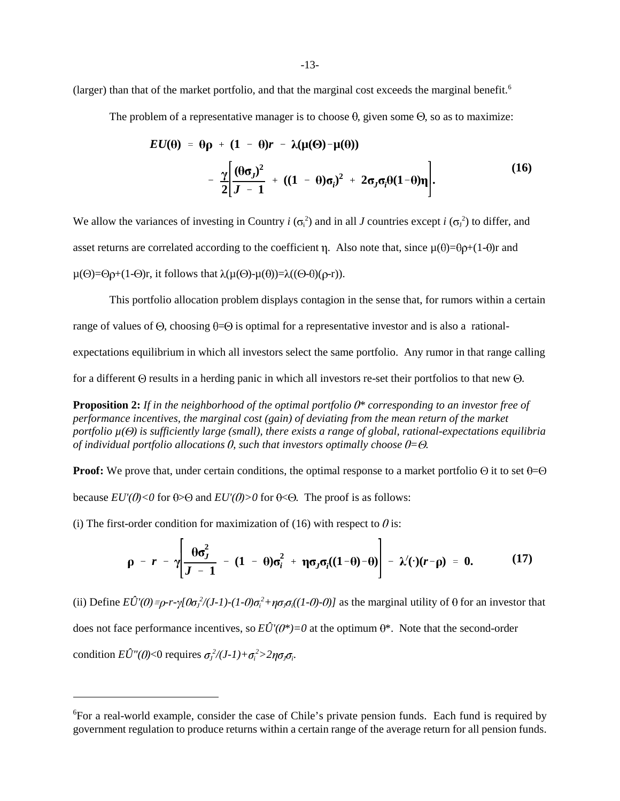(larger) than that of the market portfolio, and that the marginal cost exceeds the marginal benefit.6

The problem of a representative manager is to choose  $\theta$ , given some  $\Theta$ , so as to maximize:

$$
EU(\theta) = \theta \rho + (1 - \theta)r - \lambda(\mu(\Theta) - \mu(\theta))
$$
  
- 
$$
\frac{\gamma}{2} \bigg[ \frac{(\theta \sigma_j)^2}{J - 1} + ((1 - \theta)\sigma_i)^2 + 2\sigma_j \sigma_i \theta (1 - \theta)\eta \bigg].
$$
 (16)

We allow the variances of investing in Country *i* ( $\sigma_i^2$ ) and in all *J* countries except *i* ( $\sigma_j^2$ ) to differ, and asset returns are correlated according to the coefficient n. Also note that, since  $\mu(\theta)=\theta\rho+(1-\theta)r$  and  $\mu(\Theta) = \Theta \rho + (1-\Theta)r$ , it follows that  $\lambda(\mu(\Theta) - \mu(\theta)) = \lambda((\Theta - \theta)(\rho - r)).$ 

This portfolio allocation problem displays contagion in the sense that, for rumors within a certain range of values of  $\Theta$ , choosing  $\theta = \Theta$  is optimal for a representative investor and is also a rationalexpectations equilibrium in which all investors select the same portfolio. Any rumor in that range calling

for a different  $\Theta$  results in a herding panic in which all investors re-set their portfolios to that new  $\Theta$ .

**Proposition 2:** If in the neighborhood of the optimal portfolio  $0^*$  corresponding to an investor free of *performance incentives, the marginal cost (gain) of deviating from the mean return of the market portfolio µ( ) is sufficiently large (small), there exists a range of global, rational-expectations equilibria of individual portfolio allocations 0, such that investors optimally choose*  $0 = \Theta$ *.* 

**Proof:** We prove that, under certain conditions, the optimal response to a market portfolio  $\Theta$  it to set  $\theta = \Theta$ because  $EU'(\theta) < \theta$  for  $\theta > \Theta$  and  $EU'(\theta) > \theta$  for  $\theta < \Theta$ . The proof is as follows:

(i) The first-order condition for maximization of (16) with respect to  $\theta$  is:

$$
\rho - r - \gamma \left[ \frac{\theta \sigma_J^2}{J - 1} - (1 - \theta) \sigma_i^2 + \eta \sigma_J \sigma_i ((1 - \theta) - \theta) \right] - \lambda'(\cdot) (r - \rho) = 0. \qquad (17)
$$

(ii) Define  $E\hat{U}'(0) = p - r - \gamma[\theta \sigma_j^2/(J-1) - (1-\theta)\sigma_i^2 + \eta \sigma_j \sigma_i((1-\theta)-\theta)]$  as the marginal utility of  $\theta$  for an investor that does not face performance incentives, so  $E\hat{U}'(\theta^*)=0$  at the optimum  $\theta^*$ . Note that the second-order condition  $E\hat{U}''(0) < 0$  requires  $\sigma_j^2/(J-1)+\sigma_i^2 > 2\eta \sigma_j \sigma_i$ .

<sup>&</sup>lt;sup>6</sup>For a real-world example, consider the case of Chile's private pension funds. Each fund is required by government regulation to produce returns within a certain range of the average return for all pension funds.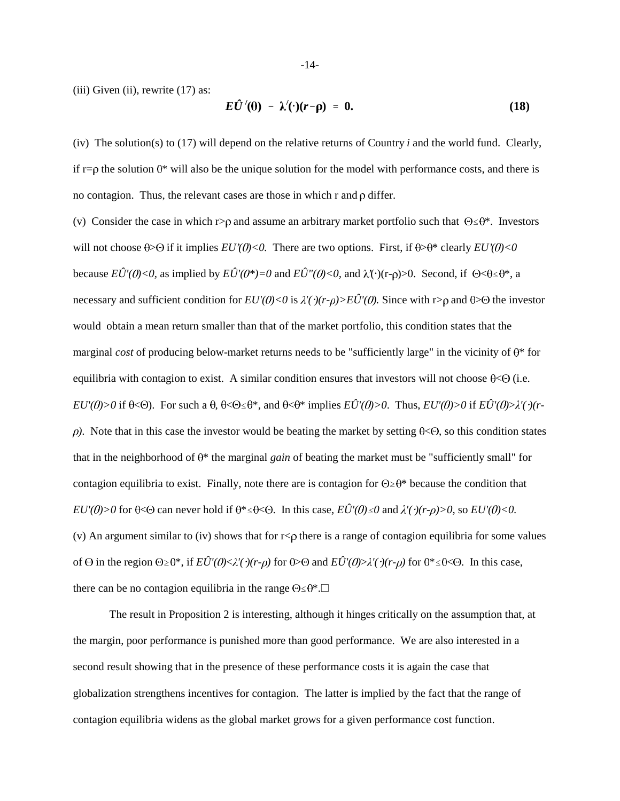$(iii)$  Given  $(ii)$ , rewrite  $(17)$  as:

$$
E\hat{U}'(\theta) - \lambda'(\cdot)(r-\rho) = 0.
$$
 (18)

(iv) The solution(s) to (17) will depend on the relative returns of Country *i* and the world fund. Clearly, if r= $\rho$  the solution  $\theta^*$  will also be the unique solution for the model with performance costs, and there is no contagion. Thus, the relevant cases are those in which  $r$  and  $\rho$  differ.

(v) Consider the case in which r> $\rho$  and assume an arbitrary market portfolio such that  $\Theta \leq \theta^*$ . Investors will not choose  $\theta > \Theta$  if it implies  $EU'(\theta) < 0$ . There are two options. First, if  $\theta > \theta^*$  clearly  $EU'(\theta) < 0$ because  $E\hat{U}'(0) < 0$ , as implied by  $E\hat{U}'(0^*) = 0$  and  $E\hat{U}''(0) < 0$ , and  $\lambda(\cdot)(r-p) > 0$ . Second, if  $\Theta < \theta \leq \theta^*$ , a necessary and sufficient condition for  $EU'(0) < 0$  is  $\lambda'(\cdot)(r-\rho) > E\hat{U}'(0)$ . Since with r> $\rho$  and  $\theta > \Theta$  the investor would obtain a mean return smaller than that of the market portfolio, this condition states that the marginal *cost* of producing below-market returns needs to be "sufficiently large" in the vicinity of  $\theta^*$  for equilibria with contagion to exist. A similar condition ensures that investors will not choose  $\theta \leq \Theta$  (i.e.  $EU'(0) > 0$  if  $\Theta < \Theta$ ). For such a  $\theta$ ,  $\Theta < \Theta \leq \theta^*$ , and  $\Theta < \theta^*$  implies  $E\hat{U}'(0) > 0$ . Thus,  $EU'(0) > 0$  if  $E\hat{U}'(0) > \lambda'(\theta)$  $\rho$ ). Note that in this case the investor would be beating the market by setting  $\theta \leq \Theta$ , so this condition states that in the neighborhood of  $\theta^*$  the marginal *gain* of beating the market must be "sufficiently small" for contagion equilibria to exist. Finally, note there are is contagion for  $\Theta \geq \theta^*$  because the condition that  $EU'(0) > 0$  for  $\theta \ll 0$  can never hold if  $\theta^* \leq \theta \ll 0$ . In this case,  $E\hat{U}'(0) \leq 0$  and  $\lambda'(\cdot)(r-\rho) > 0$ , so  $EU'(0) < 0$ . (v) An argument similar to (iv) shows that for  $r < \rho$  there is a range of contagion equilibria for some values of  $\Theta$  in the region  $\Theta \geq \theta^*$ , if  $E\hat{U}'(\theta) \leq \lambda'(\cdot)(r-\rho)$  for  $\theta \geq \Theta$  and  $E\hat{U}'(\theta) \geq \lambda'(\cdot)(r-\rho)$  for  $\theta^* \leq \theta \leq \Theta$ . In this case, there can be no contagion equilibria in the range  $\Theta \leq \theta^*$ .

The result in Proposition 2 is interesting, although it hinges critically on the assumption that, at the margin, poor performance is punished more than good performance. We are also interested in a second result showing that in the presence of these performance costs it is again the case that globalization strengthens incentives for contagion. The latter is implied by the fact that the range of contagion equilibria widens as the global market grows for a given performance cost function.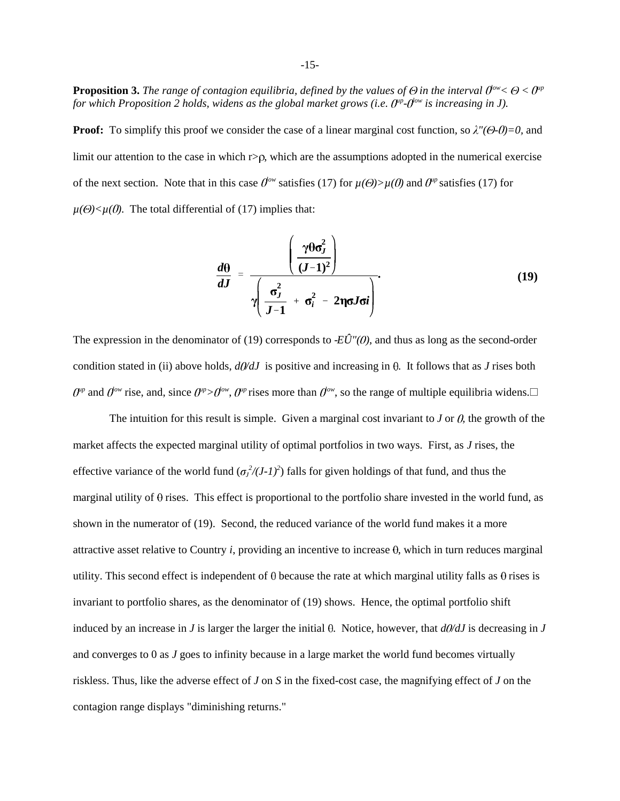**Proposition 3.** The range of contagion equilibria, defined by the values of  $\Theta$  in the interval  $0^{\text{low}} < \Theta < 0^{\text{up}}$ *for which Proposition 2 holds, widens as the global market grows (i.e.*  $O^{\psi}$ *-* $O^{\circ\psi}$  *is increasing in J).* 

**Proof:** To simplify this proof we consider the case of a linear marginal cost function, so  $\lambda''(\Theta \cdot \theta) = 0$ , and limit our attention to the case in which  $r > \rho$ , which are the assumptions adopted in the numerical exercise of the next section. Note that in this case  $\theta^{low}$  satisfies (17) for  $\mu(\theta) > \mu(\theta)$  and  $\theta^{up}$  satisfies (17) for  $\mu(\Theta) \leq \mu(\theta)$ . The total differential of (17) implies that:

$$
\frac{d\theta}{dJ} = \frac{\left(\frac{\gamma \theta \sigma_J^2}{(J-1)^2}\right)}{\sqrt{\left(\frac{\sigma_J^2}{J-1} + \sigma_i^2 - 2\eta \sigma J \sigma i\right)}}.
$$
(19)

The expression in the denominator of (19) corresponds to  $-E\hat{U}''(0)$ , and thus as long as the second-order condition stated in (ii) above holds,  $d0/dJ$  is positive and increasing in  $\theta$ . It follows that as *J* rises both  $\theta^{\mu}$  and  $\theta^{\omega}$  rise, and, since  $\theta^{\mu} > \theta^{\omega}$ ,  $\theta^{\mu}$  rises more than  $\theta^{\omega}$ , so the range of multiple equilibria widens.  $\Box$ 

The intuition for this result is simple. Given a marginal cost invariant to  $J$  or  $\theta$ , the growth of the market affects the expected marginal utility of optimal portfolios in two ways. First, as *J* rises, the effective variance of the world fund  $(\sigma_J^2/(J\text{-}I)^2)$  falls for given holdings of that fund, and thus the marginal utility of  $\theta$  rises. This effect is proportional to the portfolio share invested in the world fund, as shown in the numerator of (19). Second, the reduced variance of the world fund makes it a more attractive asset relative to Country *i*, providing an incentive to increase  $\theta$ , which in turn reduces marginal utility. This second effect is independent of  $\theta$  because the rate at which marginal utility falls as  $\theta$  rises is invariant to portfolio shares, as the denominator of (19) shows. Hence, the optimal portfolio shift induced by an increase in *J* is larger the larger the initial  $\theta$ . Notice, however, that  $d0/dJ$  is decreasing in *J* and converges to 0 as *J* goes to infinity because in a large market the world fund becomes virtually riskless. Thus, like the adverse effect of *J* on *S* in the fixed-cost case, the magnifying effect of *J* on the contagion range displays "diminishing returns."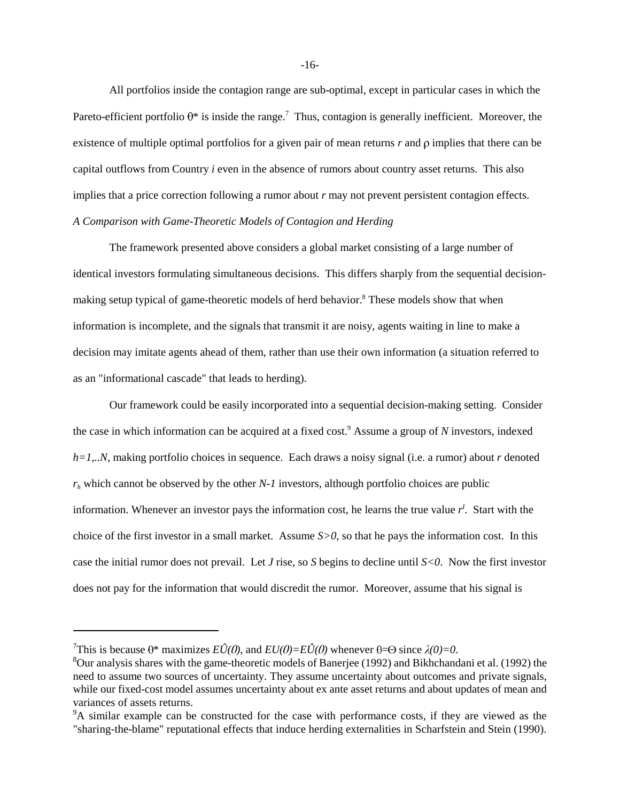All portfolios inside the contagion range are sub-optimal, except in particular cases in which the Pareto-efficient portfolio  $\theta^*$  is inside the range.<sup>7</sup> Thus, contagion is generally inefficient. Moreover, the existence of multiple optimal portfolios for a given pair of mean returns  $r$  and  $\rho$  implies that there can be capital outflows from Country *i* even in the absence of rumors about country asset returns. This also implies that a price correction following a rumor about *r* may not prevent persistent contagion effects. *A Comparison with Game-Theoretic Models of Contagion and Herding*

The framework presented above considers a global market consisting of a large number of identical investors formulating simultaneous decisions. This differs sharply from the sequential decisionmaking setup typical of game-theoretic models of herd behavior.<sup>8</sup> These models show that when information is incomplete, and the signals that transmit it are noisy, agents waiting in line to make a decision may imitate agents ahead of them, rather than use their own information (a situation referred to as an "informational cascade" that leads to herding).

Our framework could be easily incorporated into a sequential decision-making setting. Consider the case in which information can be acquired at a fixed cost.9 Assume a group of *N* investors, indexed *h=1,..N*, making portfolio choices in sequence. Each draws a noisy signal (i.e. a rumor) about *r* denoted  $r<sub>h</sub>$  which cannot be observed by the other *N-1* investors, although portfolio choices are public information. Whenever an investor pays the information cost, he learns the true value  $r<sup>1</sup>$ . Start with the choice of the first investor in a small market. Assume *S>0*, so that he pays the information cost. In this case the initial rumor does not prevail. Let *J* rise, so *S* begins to decline until *S<0*. Now the first investor does not pay for the information that would discredit the rumor. Moreover, assume that his signal is

-16-

 $^{7}$ This is because  $\theta^*$  maximizes  $E\hat{U}(0)$ , and  $EU(0)=E\hat{U}(0)$  whenever  $\theta=0$  since  $\lambda(0)=0$ .

 ${}^{8}$ Our analysis shares with the game-theoretic models of Banerjee (1992) and Bikhchandani et al. (1992) the need to assume two sources of uncertainty. They assume uncertainty about outcomes and private signals, while our fixed-cost model assumes uncertainty about ex ante asset returns and about updates of mean and variances of assets returns.

<sup>&</sup>lt;sup>9</sup>A similar example can be constructed for the case with performance costs, if they are viewed as the "sharing-the-blame" reputational effects that induce herding externalities in Scharfstein and Stein (1990).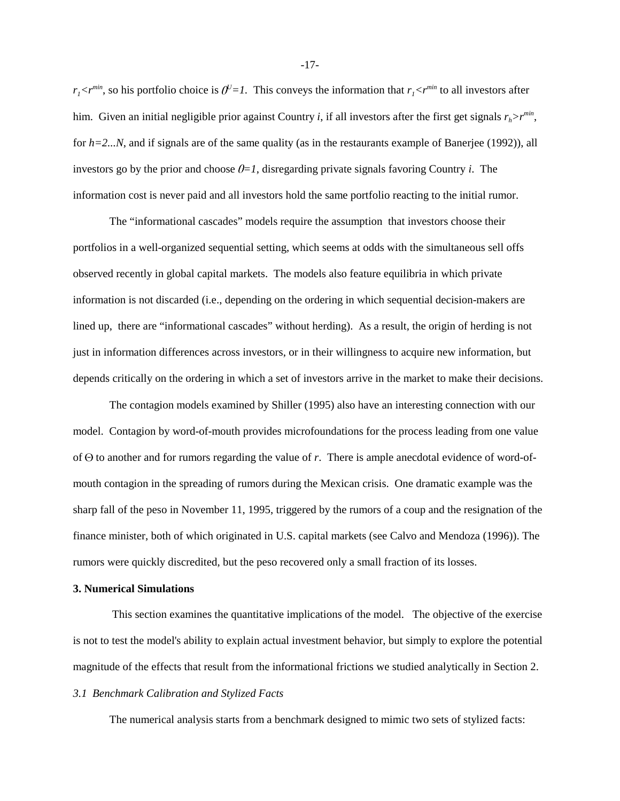$r_1 \le r^{min}$ , so his portfolio choice is  $\theta^U = 1$ . This conveys the information that  $r_1 \le r^{min}$  to all investors after him. Given an initial negligible prior against Country *i*, if all investors after the first get signals  $r_h > r^{min}$ , for  $h=2...N$ , and if signals are of the same quality (as in the restaurants example of Banerjee (1992)), all investors go by the prior and choose  $\theta = 1$ , disregarding private signals favoring Country *i*. The information cost is never paid and all investors hold the same portfolio reacting to the initial rumor.

The "informational cascades" models require the assumption that investors choose their portfolios in a well-organized sequential setting, which seems at odds with the simultaneous sell offs observed recently in global capital markets. The models also feature equilibria in which private information is not discarded (i.e., depending on the ordering in which sequential decision-makers are lined up, there are "informational cascades" without herding). As a result, the origin of herding is not just in information differences across investors, or in their willingness to acquire new information, but depends critically on the ordering in which a set of investors arrive in the market to make their decisions.

The contagion models examined by Shiller (1995) also have an interesting connection with our model. Contagion by word-of-mouth provides microfoundations for the process leading from one value of  $\Theta$  to another and for rumors regarding the value of *r*. There is ample anecdotal evidence of word-ofmouth contagion in the spreading of rumors during the Mexican crisis. One dramatic example was the sharp fall of the peso in November 11, 1995, triggered by the rumors of a coup and the resignation of the finance minister, both of which originated in U.S. capital markets (see Calvo and Mendoza (1996)). The rumors were quickly discredited, but the peso recovered only a small fraction of its losses.

## **3. Numerical Simulations**

 This section examines the quantitative implications of the model. The objective of the exercise is not to test the model's ability to explain actual investment behavior, but simply to explore the potential magnitude of the effects that result from the informational frictions we studied analytically in Section 2.

## *3.1 Benchmark Calibration and Stylized Facts*

The numerical analysis starts from a benchmark designed to mimic two sets of stylized facts:

-17-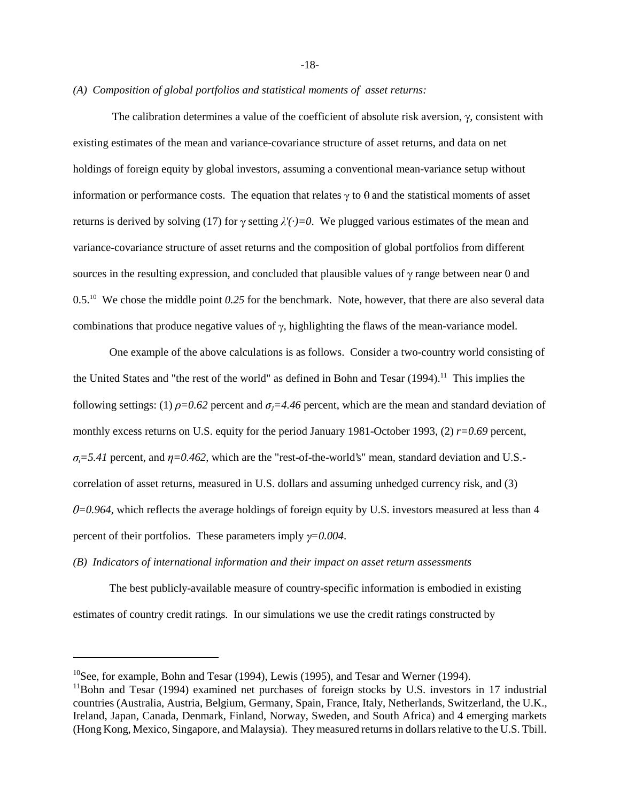-18-

### *(A) Composition of global portfolios and statistical moments of asset returns:*

The calibration determines a value of the coefficient of absolute risk aversion,  $\gamma$ , consistent with existing estimates of the mean and variance-covariance structure of asset returns, and data on net holdings of foreign equity by global investors, assuming a conventional mean-variance setup without information or performance costs. The equation that relates  $\gamma$  to  $\theta$  and the statistical moments of asset returns is derived by solving (17) for  $\gamma$  setting  $\lambda'(\cdot)=0$ . We plugged various estimates of the mean and variance-covariance structure of asset returns and the composition of global portfolios from different sources in the resulting expression, and concluded that plausible values of  $\gamma$  range between near 0 and 0.5.10We chose the middle point *0.25* for the benchmark. Note, however, that there are also several data combinations that produce negative values of  $\gamma$ , highlighting the flaws of the mean-variance model.

One example of the above calculations is as follows. Consider a two-country world consisting of the United States and "the rest of the world" as defined in Bohn and Tesar (1994).<sup>11</sup> This implies the following settings: (1)  $\rho$ =0.62 percent and  $\sigma$ =4.46 percent, which are the mean and standard deviation of monthly excess returns on U.S. equity for the period January 1981-October 1993, (2) *r=0.69* percent,  $\eta = 5.41$  percent, and  $\eta = 0.462$ , which are the "rest-of-the-world's" mean, standard deviation and U.S.correlation of asset returns, measured in U.S. dollars and assuming unhedged currency risk, and (3)  $\theta$ =0.964, which reflects the average holdings of foreign equity by U.S. investors measured at less than 4 percent of their portfolios. These parameters imply  $\gamma = 0.004$ .

#### *(B) Indicators of international information and their impact on asset return assessments*

The best publicly-available measure of country-specific information is embodied in existing estimates of country credit ratings. In our simulations we use the credit ratings constructed by

 $10$ See, for example, Bohn and Tesar (1994), Lewis (1995), and Tesar and Werner (1994).

 $11$ Bohn and Tesar (1994) examined net purchases of foreign stocks by U.S. investors in 17 industrial countries (Australia, Austria, Belgium, Germany, Spain, France, Italy, Netherlands, Switzerland, the U.K., Ireland, Japan, Canada, Denmark, Finland, Norway, Sweden, and South Africa) and 4 emerging markets (Hong Kong, Mexico, Singapore, and Malaysia). They measured returns in dollars relative to the U.S. Tbill.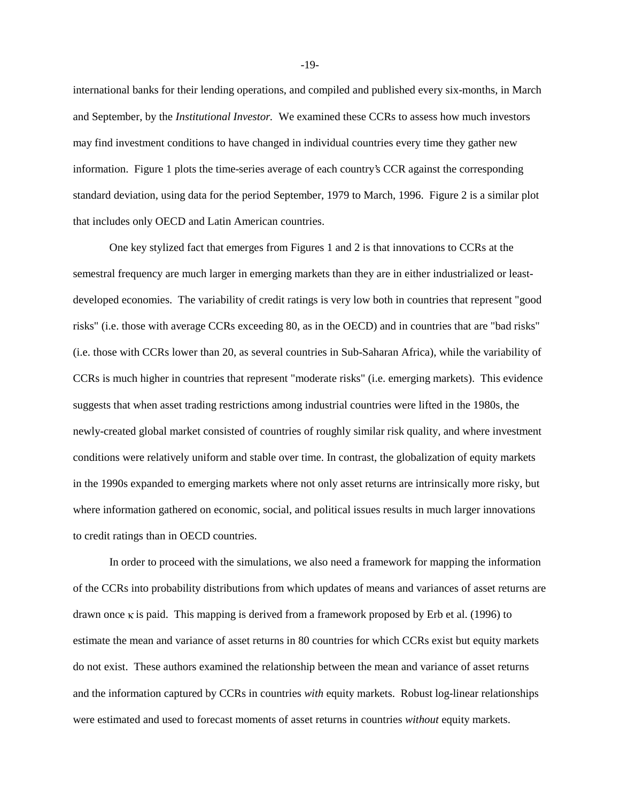international banks for their lending operations, and compiled and published every six-months, in March and September, by the *Institutional Investor.* We examined these CCRs to assess how much investors may find investment conditions to have changed in individual countries every time they gather new information. Figure 1 plots the time-series average of each country's CCR against the corresponding standard deviation, using data for the period September, 1979 to March, 1996. Figure 2 is a similar plot that includes only OECD and Latin American countries.

One key stylized fact that emerges from Figures 1 and 2 is that innovations to CCRs at the semestral frequency are much larger in emerging markets than they are in either industrialized or leastdeveloped economies. The variability of credit ratings is very low both in countries that represent "good risks" (i.e. those with average CCRs exceeding 80, as in the OECD) and in countries that are "bad risks" (i.e. those with CCRs lower than 20, as several countries in Sub-Saharan Africa), while the variability of CCRs is much higher in countries that represent "moderate risks" (i.e. emerging markets). This evidence suggests that when asset trading restrictions among industrial countries were lifted in the 1980s, the newly-created global market consisted of countries of roughly similar risk quality, and where investment conditions were relatively uniform and stable over time. In contrast, the globalization of equity markets in the 1990s expanded to emerging markets where not only asset returns are intrinsically more risky, but where information gathered on economic, social, and political issues results in much larger innovations to credit ratings than in OECD countries.

In order to proceed with the simulations, we also need a framework for mapping the information of the CCRs into probability distributions from which updates of means and variances of asset returns are drawn once  $\kappa$  is paid. This mapping is derived from a framework proposed by Erb et al. (1996) to estimate the mean and variance of asset returns in 80 countries for which CCRs exist but equity markets do not exist. These authors examined the relationship between the mean and variance of asset returns and the information captured by CCRs in countries *with* equity markets. Robust log-linear relationships were estimated and used to forecast moments of asset returns in countries *without* equity markets.

-19-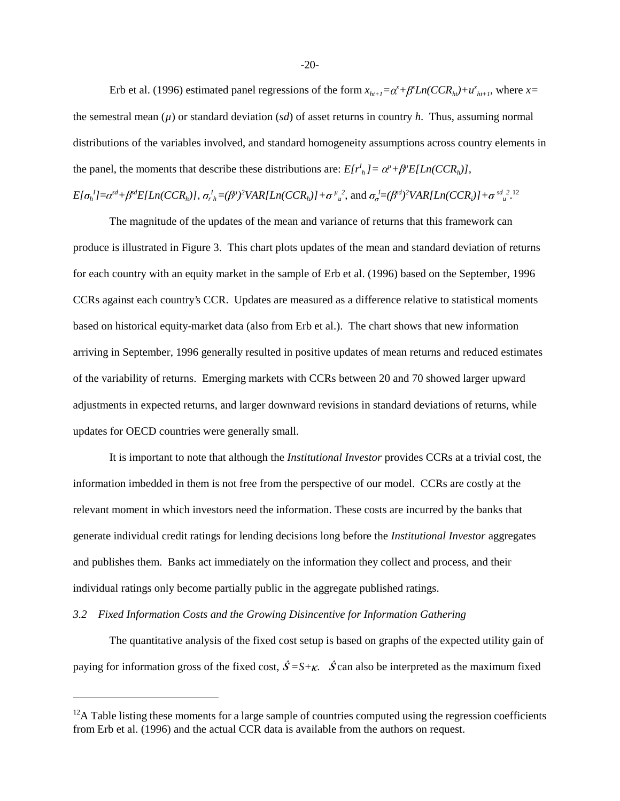Erb et al. (1996) estimated panel regressions of the form  $x_{h+1} = \alpha^x + \beta^x Ln(CCR_{h} + u_{h+1}^x)$ , where  $x =$ the semestral mean (*µ*) or standard deviation (*sd*) of asset returns in country *h*. Thus, assuming normal distributions of the variables involved, and standard homogeneity assumptions across country elements in the panel, the moments that describe these distributions are:  $E[r^l_{\;h}] = \alpha^{\mu} + \beta^{\mu} E[Ln(CCR_{\mu})],$  $E[\sigma_h^I]=\alpha^{sd}+\beta^{sd}E[Ln(CCR_h)], \sigma_{r\,h}^I=(\beta^u)^2VAR[Ln(CCR_h)]+\sigma_{u\,u}^{u\,2}$ , and  $\sigma_{\sigma}^I=(\beta^{sd})^2VAR[Ln(CCR_i)]+\sigma_{u\,u}^{sd\,2}^{2.12}$ 

The magnitude of the updates of the mean and variance of returns that this framework can produce is illustrated in Figure 3. This chart plots updates of the mean and standard deviation of returns for each country with an equity market in the sample of Erb et al. (1996) based on the September, 1996 CCRs against each country's CCR. Updates are measured as a difference relative to statistical moments based on historical equity-market data (also from Erb et al.). The chart shows that new information arriving in September, 1996 generally resulted in positive updates of mean returns and reduced estimates of the variability of returns. Emerging markets with CCRs between 20 and 70 showed larger upward adjustments in expected returns, and larger downward revisions in standard deviations of returns, while updates for OECD countries were generally small.

It is important to note that although the *Institutional Investor* provides CCRs at a trivial cost, the information imbedded in them is not free from the perspective of our model. CCRs are costly at the relevant moment in which investors need the information. These costs are incurred by the banks that generate individual credit ratings for lending decisions long before the *Institutional Investor* aggregates and publishes them. Banks act immediately on the information they collect and process, and their individual ratings only become partially public in the aggregate published ratings.

## *3.2 Fixed Information Costs and the Growing Disincentive for Information Gathering*

The quantitative analysis of the fixed cost setup is based on graphs of the expected utility gain of paying for information gross of the fixed cost,  $\hat{S} = S + \kappa$ .  $\hat{S}$  can also be interpreted as the maximum fixed

 $12A$  Table listing these moments for a large sample of countries computed using the regression coefficients from Erb et al. (1996) and the actual CCR data is available from the authors on request.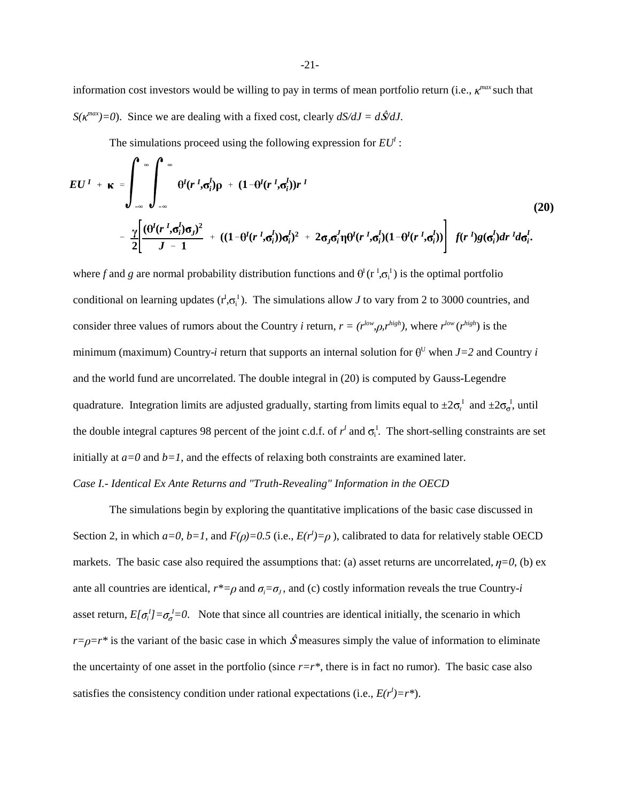information cost investors would be willing to pay in terms of mean portfolio return (i.e.,  $\kappa^{max}$  such that  $S(\kappa^{max})=0$ ). Since we are dealing with a fixed cost, clearly  $dS/dJ = d\hat{S}/dJ$ .

The simulations proceed using the following expression for  $EU<sup>t</sup>$ :

The simulations proceed using the following expression for 
$$
EU^t
$$
:  
\n
$$
EU^t + \kappa = \int_{-\infty}^{\infty} \int_{-\infty}^{\infty} \theta^l (r^I, \sigma_i^I) \rho + (1 - \theta^I (r^I, \sigma_i^I)) r^I
$$
\n
$$
- \frac{\gamma}{2} \left[ \frac{(\theta^I (r^I, \sigma_i^I) \sigma_j)^2}{J - 1} + ((1 - \theta^I (r^I, \sigma_i^I)) \sigma_i^I)^2 + 2 \sigma_j \sigma_i^J \eta \theta^I (r^I, \sigma_i^I) (1 - \theta^I (r^I, \sigma_i^I)) \right] f(r^I) g(\sigma_i^I) dr^I d\sigma_i^I.
$$
\n(20)

where f and g are normal probability distribution functions and  $\theta^I(r^I, \sigma_i^I)$  is the optimal portfolio conditional on learning updates  $(r^I, \sigma_i^I)$ . The simulations allow *J* to vary from 2 to 3000 countries, and consider three values of rumors about the Country *i* return,  $r = (r^{low}, \rho, r^{high})$ , where  $r^{low}(r^{high})$  is the minimum (maximum) Country-*i* return that supports an internal solution for  $\theta^U$  when  $J=2$  and Country *i* and the world fund are uncorrelated. The double integral in (20) is computed by Gauss-Legendre quadrature. Integration limits are adjusted gradually, starting from limits equal to  $\pm 2\sigma_r^I$  and  $\pm 2\sigma_\sigma^I$ , until the double integral captures 98 percent of the joint c.d.f. of  $r<sup>I</sup>$  and  $\sigma_i^I$ . The short-selling constraints are set initially at  $a=0$  and  $b=1$ , and the effects of relaxing both constraints are examined later.

# *Case I.- Identical Ex Ante Returns and "Truth-Revealing" Information in the OECD*

The simulations begin by exploring the quantitative implications of the basic case discussed in Section 2, in which  $a=0$ ,  $b=1$ , and  $F(\rho)=0.5$  (i.e.,  $E(r^l)=\rho$ ), calibrated to data for relatively stable OECD markets. The basic case also required the assumptions that: (a) asset returns are uncorrelated,  $\eta = 0$ , (b) ex ante all countries are identical,  $r^* = \rho$  and  $\sigma_i = \sigma_j$ , and (c) costly information reveals the true Country-*i* asset return,  $E[\sigma_i^I]=\sigma_o^I=0$ . Note that since all countries are identical initially, the scenario in which  $r=p=r^*$  is the variant of the basic case in which  $\hat{S}$  measures simply the value of information to eliminate the uncertainty of one asset in the portfolio (since  $r=r^*$ , there is in fact no rumor). The basic case also satisfies the consistency condition under rational expectations (i.e.,  $E(r^I) = r^*$ ).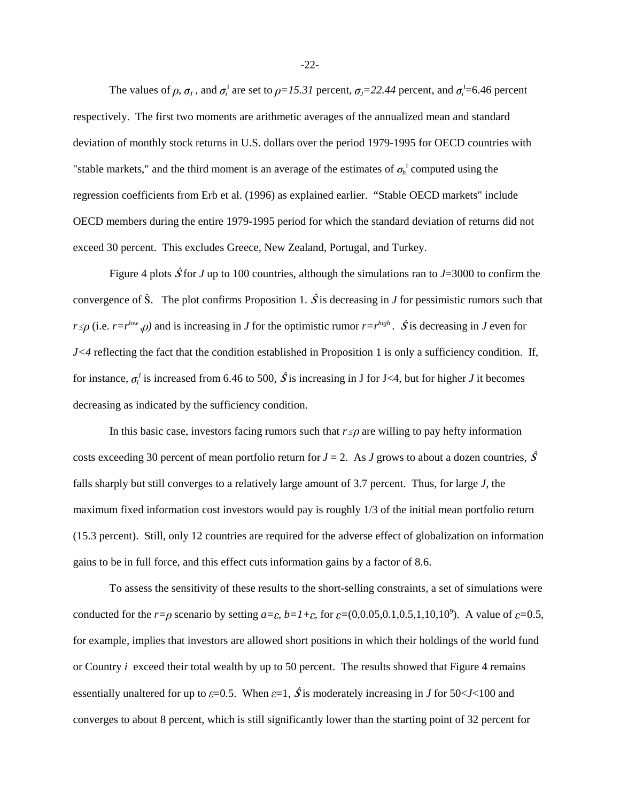The values of  $\rho$ ,  $\sigma_j$ , and  $\sigma_i^I$  are set to  $\rho = 15.31$  percent,  $\sigma_j = 22.44$  percent, and  $\sigma_i^I = 6.46$  percent respectively. The first two moments are arithmetic averages of the annualized mean and standard deviation of monthly stock returns in U.S. dollars over the period 1979-1995 for OECD countries with "stable markets," and the third moment is an average of the estimates of  $\sigma_h^I$  computed using the regression coefficients from Erb et al. (1996) as explained earlier. "Stable OECD markets" include OECD members during the entire 1979-1995 period for which the standard deviation of returns did not exceed 30 percent. This excludes Greece, New Zealand, Portugal, and Turkey.

Figure 4 plots  $\hat{S}$  for *J* up to 100 countries, although the simulations ran to *J*=3000 to confirm the convergence of  $\hat{S}$ . The plot confirms Proposition 1.  $\hat{S}$  is decreasing in *J* for pessimistic rumors such that  $r \leq \rho$  (i.e.  $r = r^{\text{low}}$ ,  $\rho$ ) and is increasing in *J* for the optimistic rumor  $r = r^{\text{high}}$ .  $\hat{S}$  is decreasing in *J* even for  $J \leq 4$  reflecting the fact that the condition established in Proposition 1 is only a sufficiency condition. If, for instance,  $\sigma_i^I$  is increased from 6.46 to 500,  $\hat{S}$  is increasing in J for J<4, but for higher *J* it becomes decreasing as indicated by the sufficiency condition.

In this basic case, investors facing rumors such that  $r \leq \rho$  are willing to pay hefty information costs exceeding 30 percent of mean portfolio return for  $J = 2$ . As *J* grows to about a dozen countries,  $\hat{S}$ falls sharply but still converges to a relatively large amount of 3.7 percent. Thus, for large *J*, the maximum fixed information cost investors would pay is roughly 1/3 of the initial mean portfolio return (15.3 percent). Still, only 12 countries are required for the adverse effect of globalization on information gains to be in full force, and this effect cuts information gains by a factor of 8.6.

To assess the sensitivity of these results to the short-selling constraints, a set of simulations were conducted for the  $r = \rho$  scenario by setting  $a = \varepsilon$ ,  $b = 1 + \varepsilon$ , for  $\varepsilon = (0, 0.05, 0.1, 0.5, 1, 10, 10^9)$ . A value of  $\varepsilon = 0.5$ , for example, implies that investors are allowed short positions in which their holdings of the world fund or Country *i* exceed their total wealth by up to 50 percent. The results showed that Figure 4 remains essentially unaltered for up to  $\varepsilon$ =0.5. When  $\varepsilon$ =1,  $\hat{S}$  is moderately increasing in *J* for 50<*J*<100 and converges to about 8 percent, which is still significantly lower than the starting point of 32 percent for

-22-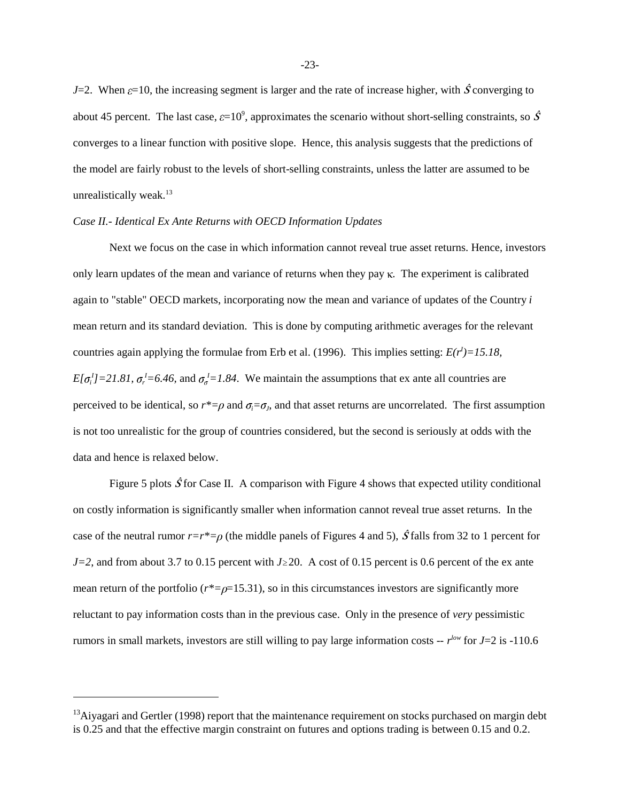*J*=2. When  $\varepsilon$ =10, the increasing segment is larger and the rate of increase higher, with  $\hat{S}$  converging to about 45 percent. The last case,  $\varepsilon = 10^9$ , approximates the scenario without short-selling constraints, so  $\acute{S}$ converges to a linear function with positive slope. Hence, this analysis suggests that the predictions of the model are fairly robust to the levels of short-selling constraints, unless the latter are assumed to be unrealistically weak.<sup>13</sup>

#### *Case II.- Identical Ex Ante Returns with OECD Information Updates*

Next we focus on the case in which information cannot reveal true asset returns. Hence, investors only learn updates of the mean and variance of returns when they pay  $\kappa$ . The experiment is calibrated again to "stable" OECD markets, incorporating now the mean and variance of updates of the Country *i* mean return and its standard deviation. This is done by computing arithmetic averages for the relevant countries again applying the formulae from Erb et al. (1996). This implies setting:  $E(r^I) = 15.18$ ,  $E[\sigma_i^I] = 21.81$ ,  $\sigma_i^I = 6.46$ , and  $\sigma_d^I = 1.84$ . We maintain the assumptions that ex ante all countries are perceived to be identical, so  $r^* = \rho$  and  $\sigma_i = \sigma_j$ , and that asset returns are uncorrelated. The first assumption is not too unrealistic for the group of countries considered, but the second is seriously at odds with the data and hence is relaxed below.

Figure 5 plots  $\hat{S}$  for Case II. A comparison with Figure 4 shows that expected utility conditional on costly information is significantly smaller when information cannot reveal true asset returns. In the case of the neutral rumor  $r=r^*=$  (the middle panels of Figures 4 and 5),  $\hat{S}$  falls from 32 to 1 percent for  $J=2$ , and from about 3.7 to 0.15 percent with  $J\geq 20$ . A cost of 0.15 percent is 0.6 percent of the ex ante mean return of the portfolio ( $r^*=p=15.31$ ), so in this circumstances investors are significantly more reluctant to pay information costs than in the previous case. Only in the presence of *very* pessimistic rumors in small markets, investors are still willing to pay large information costs --  $r^{low}$  for *J*=2 is -110.6

 $13$ Aiyagari and Gertler (1998) report that the maintenance requirement on stocks purchased on margin debt is 0.25 and that the effective margin constraint on futures and options trading is between 0.15 and 0.2.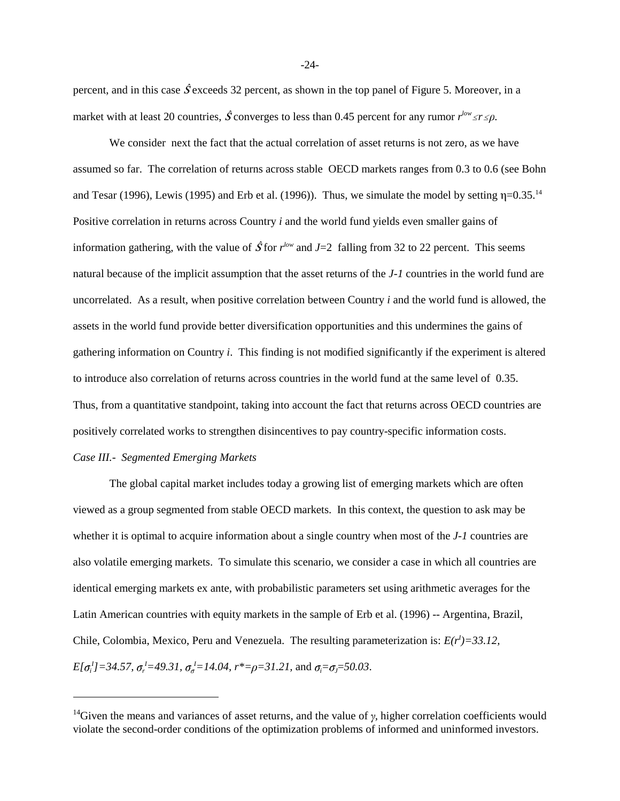percent, and in this case  $\hat{S}$  exceeds 32 percent, as shown in the top panel of Figure 5. Moreover, in a market with at least 20 countries,  $\hat{S}$  converges to less than 0.45 percent for any rumor  $r^{low} \leq r \leq \rho$ .

We consider next the fact that the actual correlation of asset returns is not zero, as we have assumed so far. The correlation of returns across stable OECD markets ranges from 0.3 to 0.6 (see Bohn and Tesar (1996), Lewis (1995) and Erb et al. (1996)). Thus, we simulate the model by setting  $\eta=0.35$ .<sup>14</sup> Positive correlation in returns across Country *i* and the world fund yields even smaller gains of information gathering, with the value of  $\hat{S}$  for  $r^{low}$  and  $J=2$  falling from 32 to 22 percent. This seems natural because of the implicit assumption that the asset returns of the *J-1* countries in the world fund are uncorrelated. As a result, when positive correlation between Country *i* and the world fund is allowed, the assets in the world fund provide better diversification opportunities and this undermines the gains of gathering information on Country *i*. This finding is not modified significantly if the experiment is altered to introduce also correlation of returns across countries in the world fund at the same level of 0.35. Thus, from a quantitative standpoint, taking into account the fact that returns across OECD countries are positively correlated works to strengthen disincentives to pay country-specific information costs.

# *Case III.- Segmented Emerging Markets*

The global capital market includes today a growing list of emerging markets which are often viewed as a group segmented from stable OECD markets. In this context, the question to ask may be whether it is optimal to acquire information about a single country when most of the *J-1* countries are also volatile emerging markets. To simulate this scenario, we consider a case in which all countries are identical emerging markets ex ante, with probabilistic parameters set using arithmetic averages for the Latin American countries with equity markets in the sample of Erb et al. (1996) -- Argentina, Brazil, Chile, Colombia, Mexico, Peru and Venezuela. The resulting parameterization is:  $E(r^I) = 33.12$ ,  $E[\sigma_i^I] = 34.57$ ,  $\sigma_r^I = 49.31$ ,  $\sigma_\sigma^I = 14.04$ ,  $r^* = \rho = 31.21$ , and  $\sigma_i = \sigma_f = 50.03$ .

<sup>&</sup>lt;sup>14</sup>Given the means and variances of asset returns, and the value of  $\gamma$ , higher correlation coefficients would violate the second-order conditions of the optimization problems of informed and uninformed investors.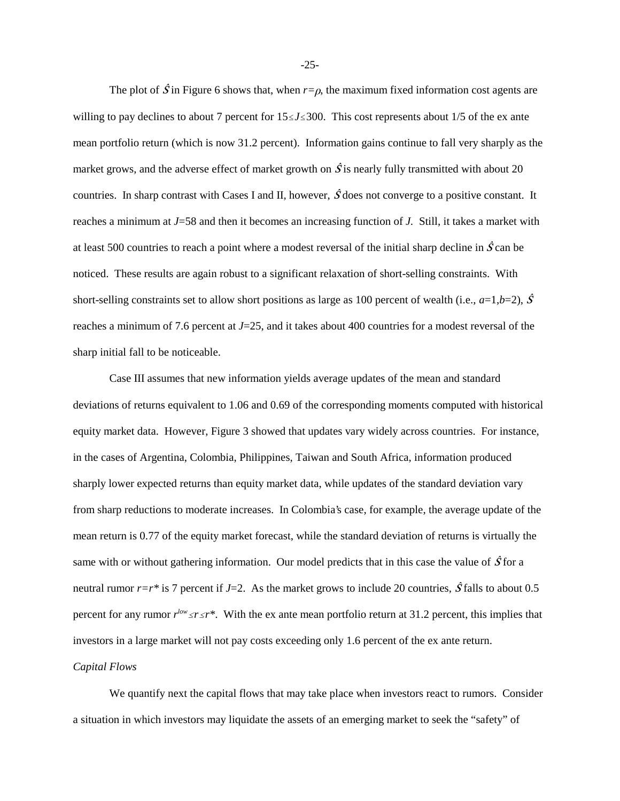The plot of  $\hat{S}$  in Figure 6 shows that, when  $r=p$ , the maximum fixed information cost agents are willing to pay declines to about 7 percent for  $15 \le J \le 300$ . This cost represents about 1/5 of the ex ante mean portfolio return (which is now 31.2 percent). Information gains continue to fall very sharply as the market grows, and the adverse effect of market growth on  $\hat{S}$  is nearly fully transmitted with about 20 countries. In sharp contrast with Cases I and II, however,  $\hat{S}$  does not converge to a positive constant. It reaches a minimum at *J*=58 and then it becomes an increasing function of *J.* Still, it takes a market with at least 500 countries to reach a point where a modest reversal of the initial sharp decline in  $\hat{S}$  can be noticed. These results are again robust to a significant relaxation of short-selling constraints. With short-selling constraints set to allow short positions as large as 100 percent of wealth (i.e.,  $a=1, b=2$ ),  $\hat{S}$ reaches a minimum of 7.6 percent at  $J=25$ , and it takes about 400 countries for a modest reversal of the sharp initial fall to be noticeable.

Case III assumes that new information yields average updates of the mean and standard deviations of returns equivalent to 1.06 and 0.69 of the corresponding moments computed with historical equity market data. However, Figure 3 showed that updates vary widely across countries. For instance, in the cases of Argentina, Colombia, Philippines, Taiwan and South Africa, information produced sharply lower expected returns than equity market data, while updates of the standard deviation vary from sharp reductions to moderate increases. In Colombia's case, for example, the average update of the mean return is 0.77 of the equity market forecast, while the standard deviation of returns is virtually the same with or without gathering information. Our model predicts that in this case the value of  $\hat{S}$  for a neutral rumor  $r=r^*$  is 7 percent if *J*=2. As the market grows to include 20 countries,  $\hat{S}$  falls to about 0.5 percent for any rumor  $r^{low} \le r \le r^*$ . With the ex ante mean portfolio return at 31.2 percent, this implies that investors in a large market will not pay costs exceeding only 1.6 percent of the ex ante return. *Capital Flows*

We quantify next the capital flows that may take place when investors react to rumors. Consider a situation in which investors may liquidate the assets of an emerging market to seek the "safety" of

-25-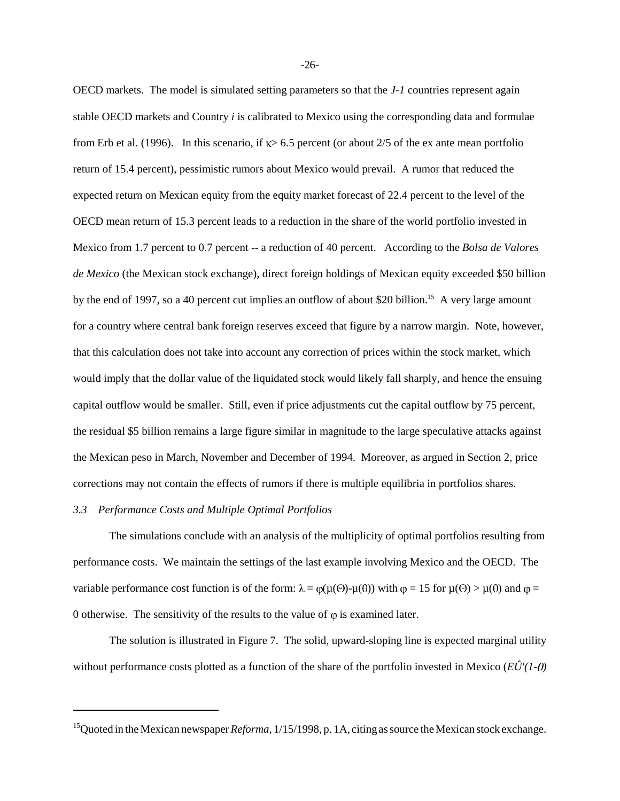OECD markets. The model is simulated setting parameters so that the *J-1* countries represent again stable OECD markets and Country *i* is calibrated to Mexico using the corresponding data and formulae from Erb et al. (1996). In this scenario, if  $\infty$  6.5 percent (or about 2/5 of the ex ante mean portfolio return of 15.4 percent), pessimistic rumors about Mexico would prevail. A rumor that reduced the expected return on Mexican equity from the equity market forecast of 22.4 percent to the level of the OECD mean return of 15.3 percent leads to a reduction in the share of the world portfolio invested in Mexico from 1.7 percent to 0.7 percent -- a reduction of 40 percent. According to the *Bolsa de Valores de Mexico* (the Mexican stock exchange), direct foreign holdings of Mexican equity exceeded \$50 billion by the end of 1997, so a 40 percent cut implies an outflow of about \$20 billion.<sup>15</sup> A very large amount for a country where central bank foreign reserves exceed that figure by a narrow margin. Note, however, that this calculation does not take into account any correction of prices within the stock market, which would imply that the dollar value of the liquidated stock would likely fall sharply, and hence the ensuing capital outflow would be smaller. Still, even if price adjustments cut the capital outflow by 75 percent, the residual \$5 billion remains a large figure similar in magnitude to the large speculative attacks against the Mexican peso in March, November and December of 1994. Moreover, as argued in Section 2, price corrections may not contain the effects of rumors if there is multiple equilibria in portfolios shares.

## *3.3 Performance Costs and Multiple Optimal Portfolios*

The simulations conclude with an analysis of the multiplicity of optimal portfolios resulting from performance costs. We maintain the settings of the last example involving Mexico and the OECD. The variable performance cost function is of the form:  $\lambda = \varphi(\mu(\Theta) - \mu(\theta))$  with  $\varphi = 15$  for  $\mu(\Theta) > \mu(\theta)$  and  $\varphi =$ 0 otherwise. The sensitivity of the results to the value of  $\varphi$  is examined later.

The solution is illustrated in Figure 7. The solid, upward-sloping line is expected marginal utility without performance costs plotted as a function of the share of the portfolio invested in Mexico ( $E\hat{U}'(1-0)$ )

-26-

<sup>&</sup>lt;sup>15</sup>Quoted in the Mexican newspaper *Reforma*, 1/15/1998, p. 1A, citing as source the Mexican stock exchange.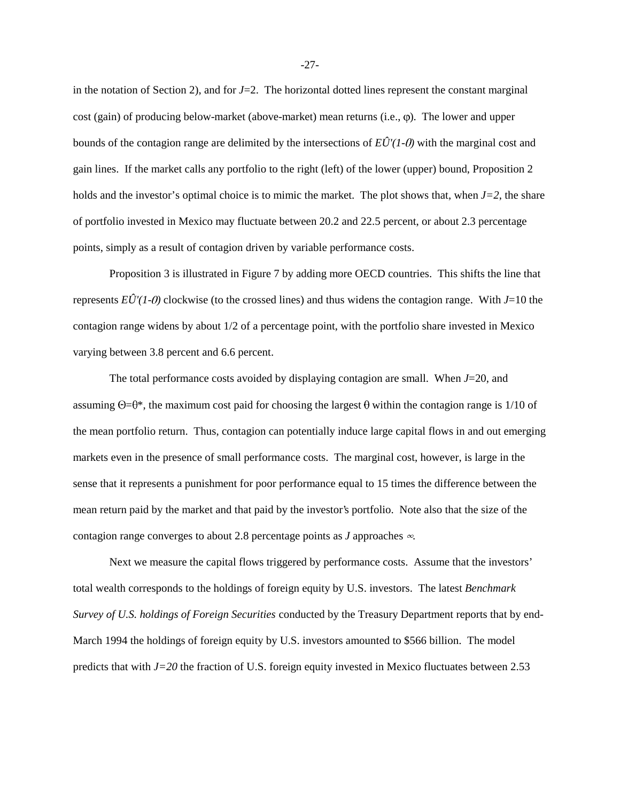in the notation of Section 2), and for  $J=2$ . The horizontal dotted lines represent the constant marginal cost (gain) of producing below-market (above-market) mean returns (i.e.,  $\varphi$ ). The lower and upper bounds of the contagion range are delimited by the intersections of  $E\hat{U}'(1-\theta)$  with the marginal cost and gain lines. If the market calls any portfolio to the right (left) of the lower (upper) bound, Proposition 2 holds and the investor's optimal choice is to mimic the market. The plot shows that, when  $J=2$ , the share of portfolio invested in Mexico may fluctuate between 20.2 and 22.5 percent, or about 2.3 percentage points, simply as a result of contagion driven by variable performance costs.

Proposition 3 is illustrated in Figure 7 by adding more OECD countries. This shifts the line that represents  $E\hat{U}'(1-\theta)$  clockwise (to the crossed lines) and thus widens the contagion range. With  $J=10$  the contagion range widens by about 1/2 of a percentage point, with the portfolio share invested in Mexico varying between 3.8 percent and 6.6 percent.

The total performance costs avoided by displaying contagion are small. When *J*=20, and assuming  $\Theta = \theta^*$ , the maximum cost paid for choosing the largest  $\theta$  within the contagion range is 1/10 of the mean portfolio return. Thus, contagion can potentially induce large capital flows in and out emerging markets even in the presence of small performance costs. The marginal cost, however, is large in the sense that it represents a punishment for poor performance equal to 15 times the difference between the mean return paid by the market and that paid by the investor's portfolio. Note also that the size of the contagion range converges to about 2.8 percentage points as  $J$  approaches  $\infty$ .

Next we measure the capital flows triggered by performance costs. Assume that the investors' total wealth corresponds to the holdings of foreign equity by U.S. investors. The latest *Benchmark Survey of U.S. holdings of Foreign Securities* conducted by the Treasury Department reports that by end-March 1994 the holdings of foreign equity by U.S. investors amounted to \$566 billion. The model predicts that with *J=20* the fraction of U.S. foreign equity invested in Mexico fluctuates between 2.53

-27-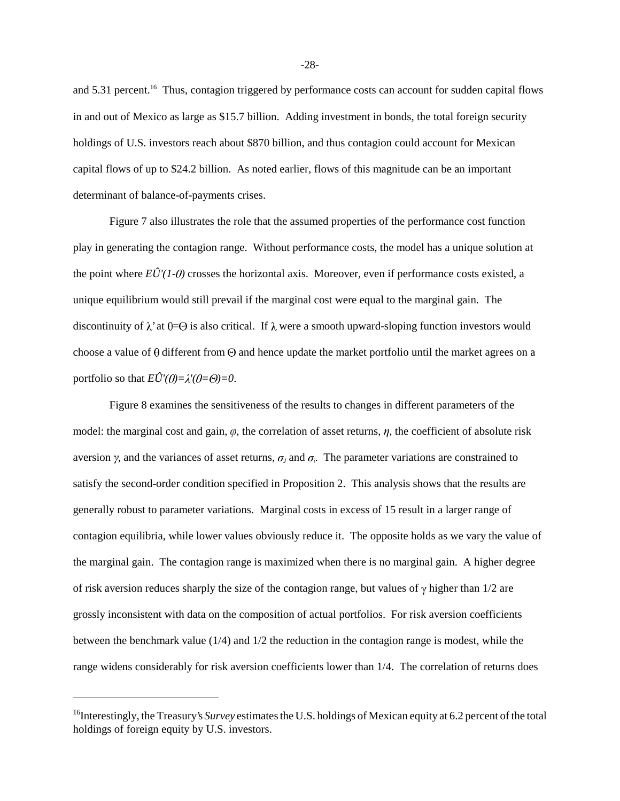and 5.31 percent.<sup>16</sup> Thus, contagion triggered by performance costs can account for sudden capital flows in and out of Mexico as large as \$15.7 billion. Adding investment in bonds, the total foreign security holdings of U.S. investors reach about \$870 billion, and thus contagion could account for Mexican capital flows of up to \$24.2 billion. As noted earlier, flows of this magnitude can be an important determinant of balance-of-payments crises.

Figure 7 also illustrates the role that the assumed properties of the performance cost function play in generating the contagion range. Without performance costs, the model has a unique solution at the point where  $E\hat{U}'(1-0)$  crosses the horizontal axis. Moreover, even if performance costs existed, a unique equilibrium would still prevail if the marginal cost were equal to the marginal gain. The discontinuity of  $\lambda$  at  $\theta = \Theta$  is also critical. If  $\lambda$  were a smooth upward-sloping function investors would choose a value of  $\theta$  different from  $\Theta$  and hence update the market portfolio until the market agrees on a portfolio so that  $E\hat{U}'(0) = \lambda'(0-\Theta) = 0$ .

Figure 8 examines the sensitiveness of the results to changes in different parameters of the model: the marginal cost and gain,  $\varphi$ , the correlation of asset returns,  $\eta$ , the coefficient of absolute risk aversion *y*, and the variances of asset returns,  $\sigma_j$  and  $\sigma_i$ . The parameter variations are constrained to satisfy the second-order condition specified in Proposition 2. This analysis shows that the results are generally robust to parameter variations. Marginal costs in excess of 15 result in a larger range of contagion equilibria, while lower values obviously reduce it. The opposite holds as we vary the value of the marginal gain. The contagion range is maximized when there is no marginal gain. A higher degree of risk aversion reduces sharply the size of the contagion range, but values of  $\gamma$  higher than 1/2 are grossly inconsistent with data on the composition of actual portfolios. For risk aversion coefficients between the benchmark value (1/4) and 1/2 the reduction in the contagion range is modest, while the range widens considerably for risk aversion coefficients lower than 1/4. The correlation of returns does

-28-

<sup>&</sup>lt;sup>16</sup>Interestingly, the Treasury's *Survey* estimates the U.S. holdings of Mexican equity at 6.2 percent of the total holdings of foreign equity by U.S. investors.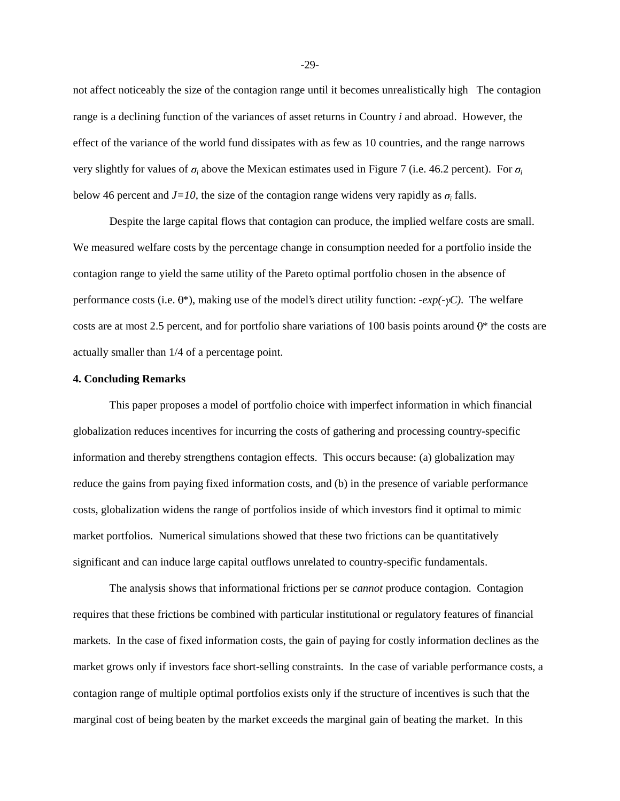not affect noticeably the size of the contagion range until it becomes unrealistically high The contagion range is a declining function of the variances of asset returns in Country *i* and abroad. However, the effect of the variance of the world fund dissipates with as few as 10 countries, and the range narrows very slightly for values of  $\sigma_i$  above the Mexican estimates used in Figure 7 (i.e. 46.2 percent). For  $\sigma_i$ below 46 percent and  $J=10$ , the size of the contagion range widens very rapidly as  $\sigma_i$  falls.

Despite the large capital flows that contagion can produce, the implied welfare costs are small. We measured welfare costs by the percentage change in consumption needed for a portfolio inside the contagion range to yield the same utility of the Pareto optimal portfolio chosen in the absence of performance costs (i.e.  $\theta^*$ ), making use of the model's direct utility function: *-exp(-* $\gamma$ *C)*. The welfare costs are at most 2.5 percent, and for portfolio share variations of 100 basis points around  $\theta^*$  the costs are actually smaller than 1/4 of a percentage point.

#### **4. Concluding Remarks**

This paper proposes a model of portfolio choice with imperfect information in which financial globalization reduces incentives for incurring the costs of gathering and processing country-specific information and thereby strengthens contagion effects. This occurs because: (a) globalization may reduce the gains from paying fixed information costs, and (b) in the presence of variable performance costs, globalization widens the range of portfolios inside of which investors find it optimal to mimic market portfolios. Numerical simulations showed that these two frictions can be quantitatively significant and can induce large capital outflows unrelated to country-specific fundamentals.

The analysis shows that informational frictions per se *cannot* produce contagion. Contagion requires that these frictions be combined with particular institutional or regulatory features of financial markets. In the case of fixed information costs, the gain of paying for costly information declines as the market grows only if investors face short-selling constraints. In the case of variable performance costs, a contagion range of multiple optimal portfolios exists only if the structure of incentives is such that the marginal cost of being beaten by the market exceeds the marginal gain of beating the market. In this

-29-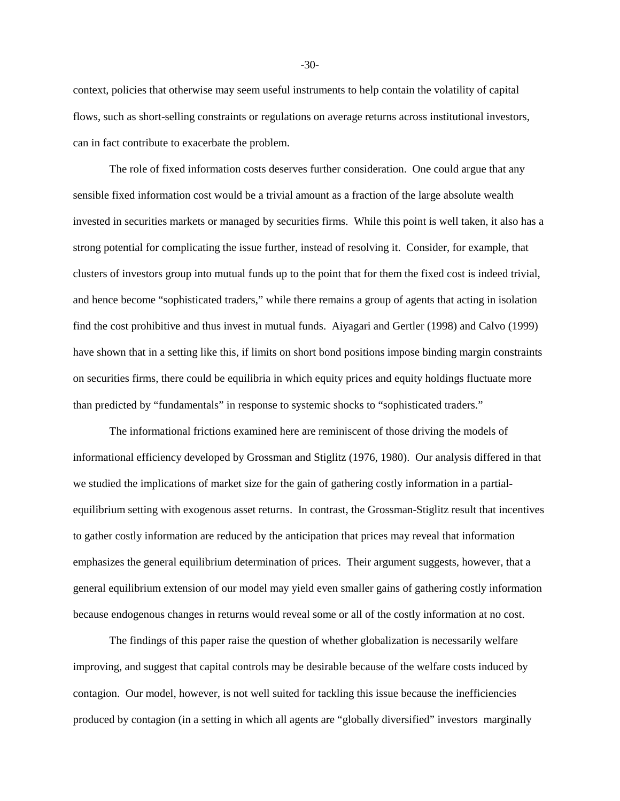context, policies that otherwise may seem useful instruments to help contain the volatility of capital flows, such as short-selling constraints or regulations on average returns across institutional investors, can in fact contribute to exacerbate the problem.

The role of fixed information costs deserves further consideration. One could argue that any sensible fixed information cost would be a trivial amount as a fraction of the large absolute wealth invested in securities markets or managed by securities firms. While this point is well taken, it also has a strong potential for complicating the issue further, instead of resolving it. Consider, for example, that clusters of investors group into mutual funds up to the point that for them the fixed cost is indeed trivial, and hence become "sophisticated traders," while there remains a group of agents that acting in isolation find the cost prohibitive and thus invest in mutual funds. Aiyagari and Gertler (1998) and Calvo (1999) have shown that in a setting like this, if limits on short bond positions impose binding margin constraints on securities firms, there could be equilibria in which equity prices and equity holdings fluctuate more than predicted by "fundamentals" in response to systemic shocks to "sophisticated traders."

The informational frictions examined here are reminiscent of those driving the models of informational efficiency developed by Grossman and Stiglitz (1976, 1980). Our analysis differed in that we studied the implications of market size for the gain of gathering costly information in a partialequilibrium setting with exogenous asset returns. In contrast, the Grossman-Stiglitz result that incentives to gather costly information are reduced by the anticipation that prices may reveal that information emphasizes the general equilibrium determination of prices. Their argument suggests, however, that a general equilibrium extension of our model may yield even smaller gains of gathering costly information because endogenous changes in returns would reveal some or all of the costly information at no cost.

The findings of this paper raise the question of whether globalization is necessarily welfare improving, and suggest that capital controls may be desirable because of the welfare costs induced by contagion. Our model, however, is not well suited for tackling this issue because the inefficiencies produced by contagion (in a setting in which all agents are "globally diversified" investors marginally

-30-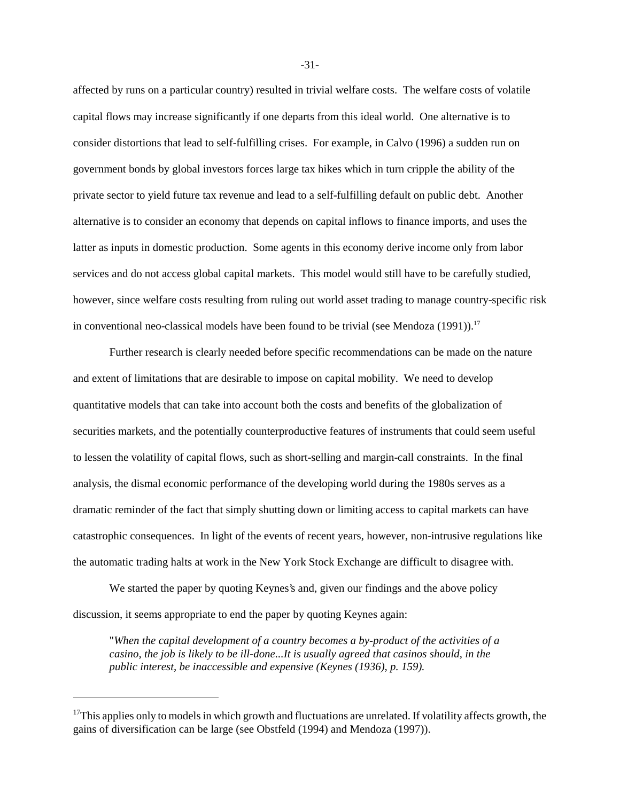affected by runs on a particular country) resulted in trivial welfare costs. The welfare costs of volatile capital flows may increase significantly if one departs from this ideal world. One alternative is to consider distortions that lead to self-fulfilling crises. For example, in Calvo (1996) a sudden run on government bonds by global investors forces large tax hikes which in turn cripple the ability of the private sector to yield future tax revenue and lead to a self-fulfilling default on public debt. Another alternative is to consider an economy that depends on capital inflows to finance imports, and uses the latter as inputs in domestic production. Some agents in this economy derive income only from labor services and do not access global capital markets. This model would still have to be carefully studied, however, since welfare costs resulting from ruling out world asset trading to manage country-specific risk in conventional neo-classical models have been found to be trivial (see Mendoza  $(1991)$ ).<sup>17</sup>

Further research is clearly needed before specific recommendations can be made on the nature and extent of limitations that are desirable to impose on capital mobility. We need to develop quantitative models that can take into account both the costs and benefits of the globalization of securities markets, and the potentially counterproductive features of instruments that could seem useful to lessen the volatility of capital flows, such as short-selling and margin-call constraints. In the final analysis, the dismal economic performance of the developing world during the 1980s serves as a dramatic reminder of the fact that simply shutting down or limiting access to capital markets can have catastrophic consequences. In light of the events of recent years, however, non-intrusive regulations like the automatic trading halts at work in the New York Stock Exchange are difficult to disagree with.

We started the paper by quoting Keynes's and, given our findings and the above policy discussion, it seems appropriate to end the paper by quoting Keynes again:

"*When the capital development of a country becomes a by-product of the activities of a casino, the job is likely to be ill-done...It is usually agreed that casinos should, in the public interest, be inaccessible and expensive (Keynes (1936), p. 159).*

-31-

<sup>&</sup>lt;sup>17</sup>This applies only to models in which growth and fluctuations are unrelated. If volatility affects growth, the gains of diversification can be large (see Obstfeld (1994) and Mendoza (1997)).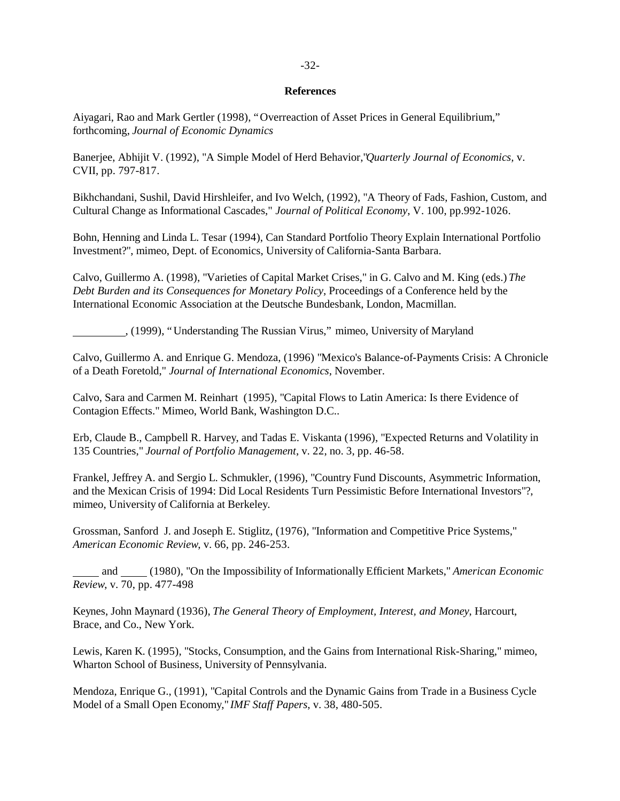# -32-

## **References**

Aiyagari, Rao and Mark Gertler (1998), "Overreaction of Asset Prices in General Equilibrium," forthcoming, *Journal of Economic Dynamics*

Banerjee, Abhijit V. (1992), "A Simple Model of Herd Behavior," *Quarterly Journal of Economics,* v. CVII, pp. 797-817.

Bikhchandani, Sushil, David Hirshleifer, and Ivo Welch, (1992), "A Theory of Fads, Fashion, Custom, and Cultural Change as Informational Cascades," *Journal of Political Economy*, V. 100, pp.992-1026.

Bohn, Henning and Linda L. Tesar (1994), Can Standard Portfolio Theory Explain International Portfolio Investment?", mimeo, Dept. of Economics, University of California-Santa Barbara.

Calvo, Guillermo A. (1998), "Varieties of Capital Market Crises," in G. Calvo and M. King (eds.) *The Debt Burden and its Consequences for Monetary Policy*, Proceedings of a Conference held by the International Economic Association at the Deutsche Bundesbank, London, Macmillan.

, (1999), "Understanding The Russian Virus," mimeo, University of Maryland

Calvo, Guillermo A. and Enrique G. Mendoza, (1996) "Mexico's Balance-of-Payments Crisis: A Chronicle of a Death Foretold," *Journal of International Economics*, November.

Calvo, Sara and Carmen M. Reinhart (1995), "Capital Flows to Latin America: Is there Evidence of Contagion Effects." Mimeo, World Bank, Washington D.C..

Erb, Claude B., Campbell R. Harvey, and Tadas E. Viskanta (1996), "Expected Returns and Volatility in 135 Countries," *Journal of Portfolio Management*, v. 22, no. 3, pp. 46-58.

Frankel, Jeffrey A. and Sergio L. Schmukler, (1996), "Country Fund Discounts, Asymmetric Information, and the Mexican Crisis of 1994: Did Local Residents Turn Pessimistic Before International Investors"?, mimeo, University of California at Berkeley.

Grossman, Sanford J. and Joseph E. Stiglitz, (1976), "Information and Competitive Price Systems," *American Economic Review*, v. 66, pp. 246-253.

 and (1980), "On the Impossibility of Informationally Efficient Markets," *American Economic Review*, v. 70, pp. 477-498

Keynes, John Maynard (1936), *The General Theory of Employment, Interest, and Money*, Harcourt, Brace, and Co., New York.

Lewis, Karen K. (1995), "Stocks, Consumption, and the Gains from International Risk-Sharing," mimeo, Wharton School of Business, University of Pennsylvania.

Mendoza, Enrique G., (1991), "Capital Controls and the Dynamic Gains from Trade in a Business Cycle Model of a Small Open Economy," *IMF Staff Papers*, v. 38, 480-505.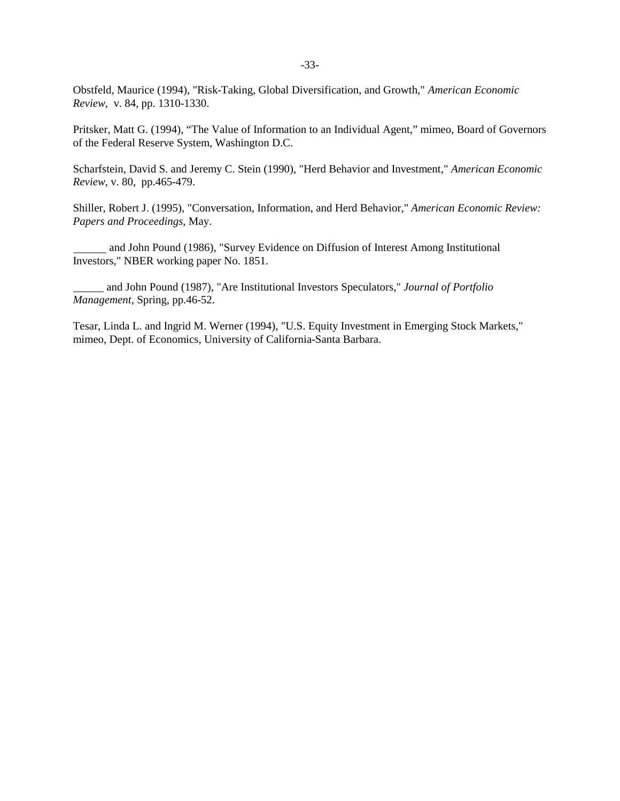Obstfeld, Maurice (1994), "Risk-Taking, Global Diversification, and Growth," *American Economic Review*, v. 84, pp. 1310-1330.

Pritsker, Matt G. (1994), "The Value of Information to an Individual Agent," mimeo, Board of Governors of the Federal Reserve System, Washington D.C.

Scharfstein, David S. and Jeremy C. Stein (1990), "Herd Behavior and Investment," *American Economic Review*, v. 80, pp.465-479.

Shiller, Robert J. (1995), "Conversation, Information, and Herd Behavior," *American Economic Review: Papers and Proceedings*, May.

 and John Pound (1986), "Survey Evidence on Diffusion of Interest Among Institutional Investors," NBER working paper No. 1851.

 and John Pound (1987), "Are Institutional Investors Speculators," *Journal of Portfolio Management*, Spring, pp.46-52.

Tesar, Linda L. and Ingrid M. Werner (1994), "U.S. Equity Investment in Emerging Stock Markets," mimeo, Dept. of Economics, University of California-Santa Barbara.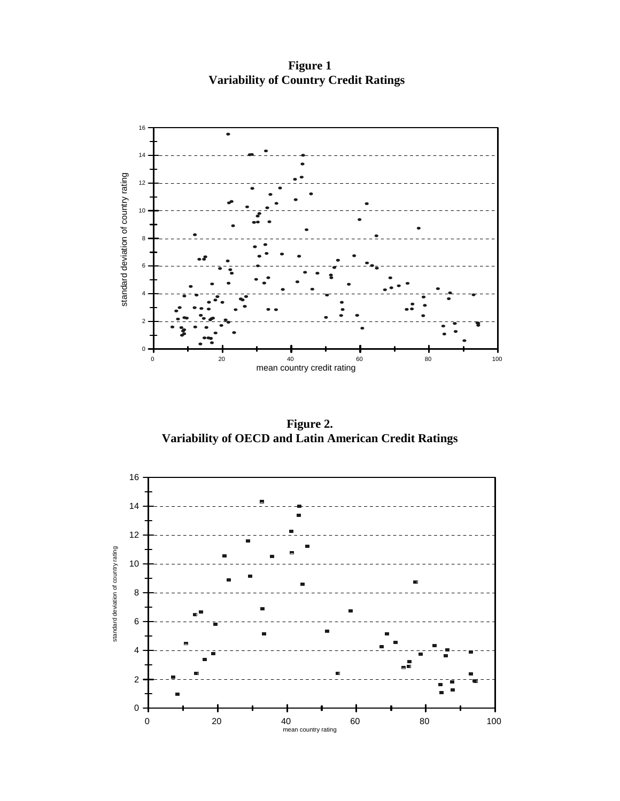**Figure 1 Variability of Country Credit Ratings** 



**Figure 2. Variability of OECD and Latin American Credit Ratings**

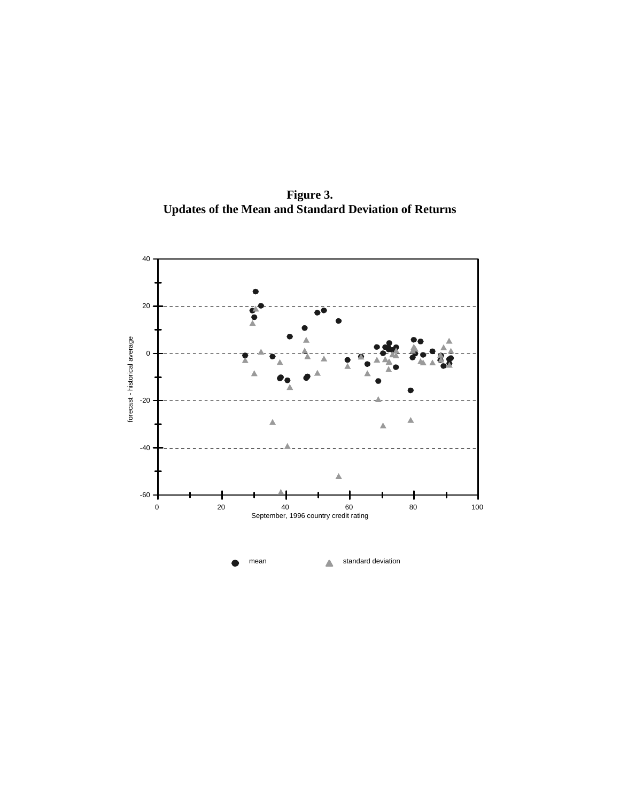**Figure 3. Updates of the Mean and Standard Deviation of Returns**



mean standard deviation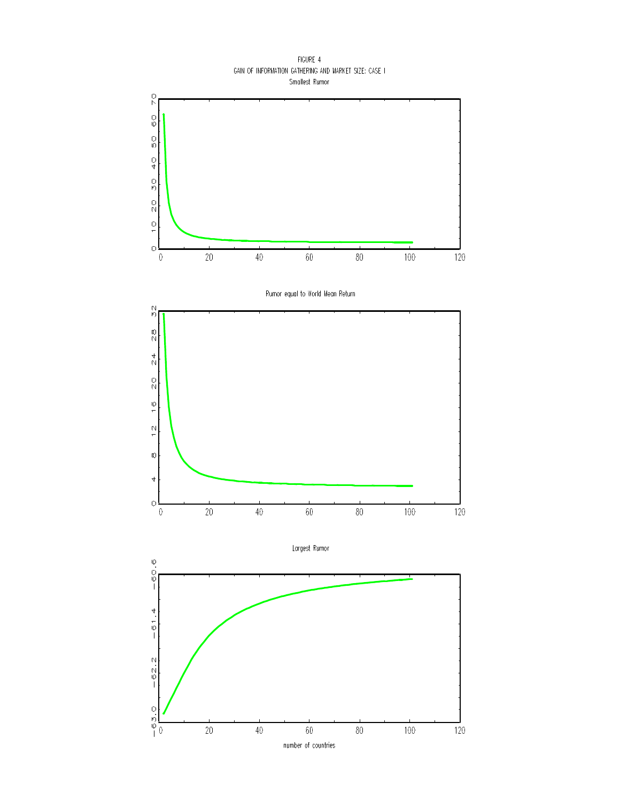FIGURE 4 GAIN OF INFORMATION GATHERING AND MARKET SIZE: CASE I Smallest Rumor



Rumor equal to World Mean Return





number of countries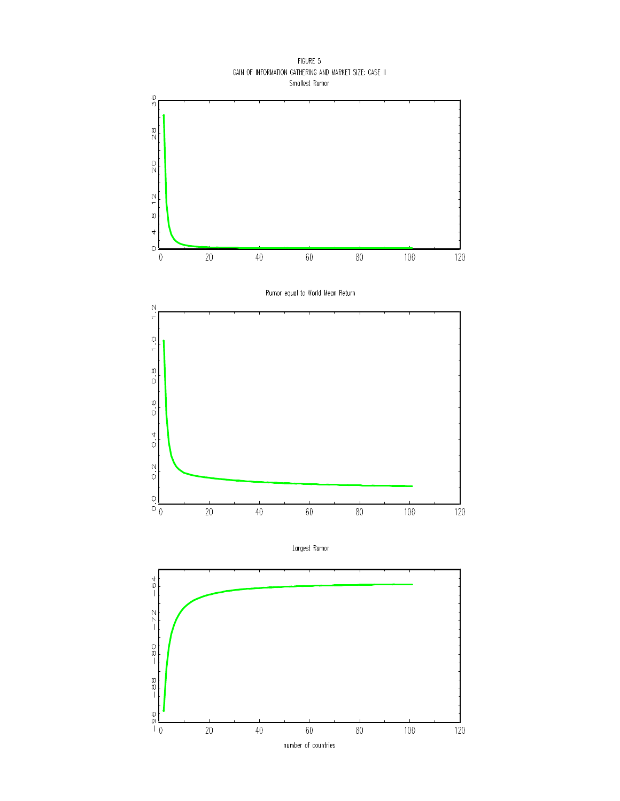FIGURE 5 GAIN OF INFORMATION GATHERING AND MARKET SIZE: CASE II Smallest Rumor



Rumor equal to World Mean Return



Largest Rumor

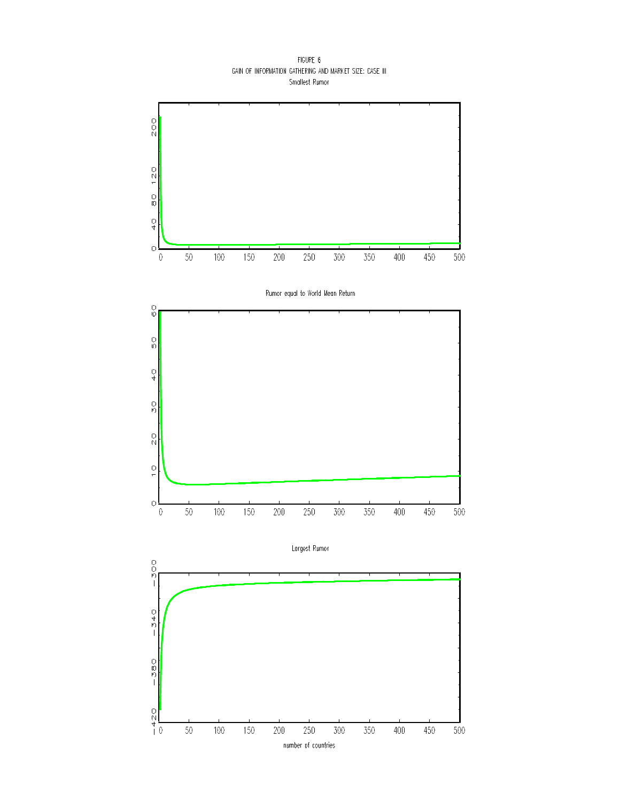#### FIGURE 6 GAIN OF INFORMATION GATHERING AND MARKET SIZE: CASE III Smallest Rumor



number of countries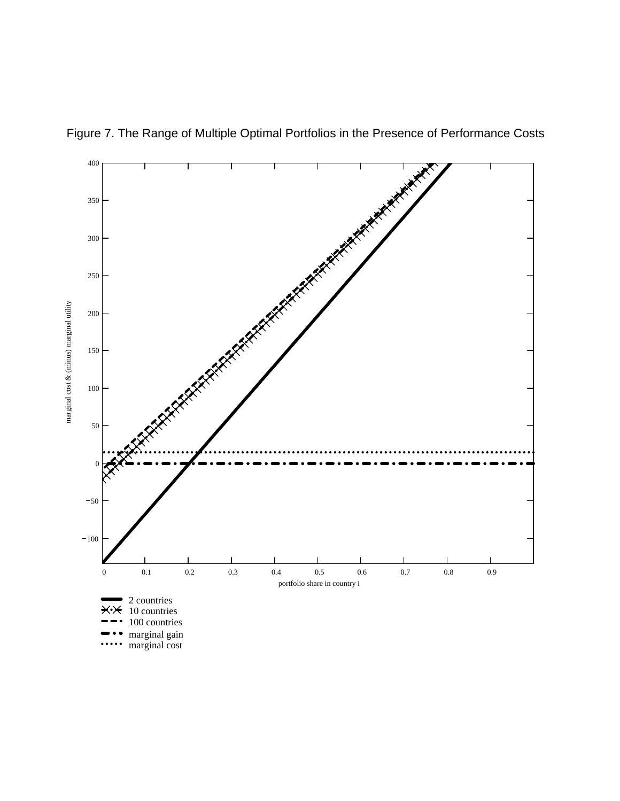

Figure 7. The Range of Multiple Optimal Portfolios in the Presence of Performance Costs